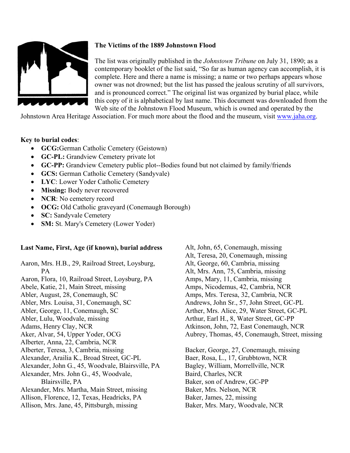

## **The Victims of the 1889 Johnstown Flood**

The list was originally published in the *Johnstown Tribune* on July 31, 1890; as a contemporary booklet of the list said, "So far as human agency can accomplish, it is complete. Here and there a name is missing; a name or two perhaps appears whose owner was not drowned; but the list has passed the jealous scrutiny of all survivors, and is pronounced correct." The original list was organized by burial place, while this copy of it is alphabetical by last name. This document was downloaded from the Web site of the Johnstown Flood Museum, which is owned and operated by the

Johnstown Area Heritage Association. For much more about the flood and the museum, visit www.jaha.org.

## **Key to burial codes**:

- **GCG:**German Catholic Cemetery (Geistown)
- **GC-PL:** Grandview Cemetery private lot
- **GC-PP:** Grandview Cemetery public plot--Bodies found but not claimed by family/friends
- **GCS:** German Catholic Cemetery (Sandyvale)
- **LYC**: Lower Yoder Catholic Cemetery
- **Missing:** Body never recovered
- **NCR**: No cemetery record
- **OCG:** Old Catholic graveyard (Conemaugh Borough)
- **SC:** Sandyvale Cemetery
- **SM:** St. Mary's Cemetery (Lower Yoder)

## **Last Name, First, Age (if known), burial address**

Aaron, Mrs. H.B., 29, Railroad Street, Loysburg, PA Aaron, Flora, 10, Railroad Street, Loysburg, PA Abele, Katie, 21, Main Street, missing Abler, August, 28, Conemaugh, SC Abler, Mrs. Louisa, 31, Conemaugh, SC Abler, George, 11, Conemaugh, SC Abler, Lulu, Woodvale, missing Adams, Henry Clay, NCR Aker, Alvar, 54, Upper Yoder, OCG Alberter, Anna, 22, Cambria, NCR Alberter, Teresa, 3, Cambria, missing Alexander, Arailia K., Broad Street, GC-PL Alexander, John G., 45, Woodvale, Blairsville, PA Alexander, Mrs. John G., 45, Woodvale, Blairsville, PA Alexander, Mrs. Martha, Main Street, missing Allison, Florence, 12, Texas, Headricks, PA Allison, Mrs. Jane, 45, Pittsburgh, missing

Alt, John, 65, Conemaugh, missing Alt, Teresa, 20, Conemaugh, missing Alt, George, 60, Cambria, missing Alt, Mrs. Ann, 75, Cambria, missing Amps, Mary, 11, Cambria, missing Amps, Nicodemus, 42, Cambria, NCR Amps, Mrs. Teresa, 32, Cambria, NCR Andrews, John Sr., 57, John Street, GC-PL Arther, Mrs. Alice, 29, Water Street, GC-PL Arthur, Earl H., 8, Water Street, GC-PP Atkinson, John, 72, East Conemaugh, NCR Aubrey, Thomas, 45, Conemaugh, Street, missing

Backer, George, 27, Conemaugh, missing Baer, Rosa, L., 17, Grubbtown, NCR Bagley, William, Morrellville, NCR Baird, Charles, NCR Baker, son of Andrew, GC-PP Baker, Mrs. Nelson, NCR Baker, James, 22, missing Baker, Mrs. Mary, Woodvale, NCR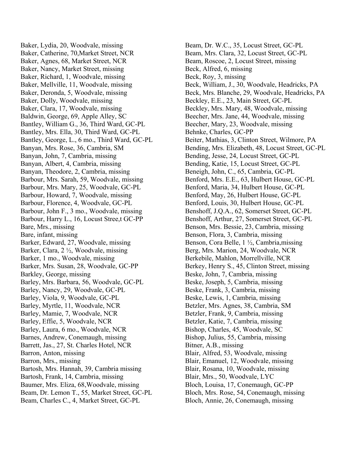Baker, Lydia, 20, Woodvale, missing Baker, Catherine, 70,Market Street, NCR Baker, Agnes, 68, Market Street, NCR Baker, Nancy, Market Street, missing Baker, Richard, 1, Woodvale, missing Baker, Mellville, 11, Woodvale, missing Baker, Deronda, 5, Woodvale, missing Baker, Dolly, Woodvale, missing Baker, Clara, 17, Woodvale, missing Baldwin, George, 69, Apple Alley, SC Bantley, William G., 36, Third Ward, GC-PL Bantley, Mrs. Ella, 30, Third Ward, GC-PL Bantley, George, L., 6 mo., Third Ward, GC-PL Banyan, Mrs. Rose, 36, Cambria, SM Banyan, John, 7, Cambria, missing Banyan, Albert, 4, Cambria, missing Banyan, Theodore, 2, Cambria, missing Barbour, Mrs. Sarah, 59, Woodvale, missing Barbour, Mrs. Mary, 25, Woodvale, GC-PL Barbour, Howard, 7, Woodvale, missing Barbour, Florence, 4, Woodvale, GC-PL Barbour, John F., 3 mo., Woodvale, missing Barbour, Harry L., 16, Locust Stree,t GC-PP Bare, Mrs., missing Bare, infant, missing Barker, Edward, 27, Woodvale, missing Barker, Clara, 2 ½, Woodvale, missing Barker, 1 mo., Woodvale, missing Barker, Mrs. Susan, 28, Woodvale, GC-PP Barkley, George, missing Barley, Mrs. Barbara, 56, Woodvale, GC-PL Barley, Nancy, 29, Woodvale, GC-PL Barley, Viola, 9, Woodvale, GC-PL Barley, Myrtle, 11, Woodvale, NCR Barley, Mamie, 7, Woodvale, NCR Barley, Effie, 5, Woodvale, NCR Barley, Laura, 6 mo., Woodvale, NCR Barnes, Andrew, Conemaugh, missing Barrett, Jas., 27, St. Charles Hotel, NCR Barron, Anton, missing Barron, Mrs., missing Bartosh, Mrs. Hannah, 39, Cambria missing Bartosh, Frank, 14, Cambria, missing Baumer, Mrs. Eliza, 68,Woodvale, missing Beam, Dr. Lemon T., 55, Market Street, GC-PL Beam, Charles C., 4, Market Street, GC-PL

Beam, Dr. W.C., 35, Locust Street, GC-PL Beam, Mrs. Clara, 32, Locust Street, GC-PL Beam, Roscoe, 2, Locust Street, missing Beck, Alfred, 6, missing Beck, Roy, 3, missing Beck, William, J., 30, Woodvale, Headricks, PA Beck, Mrs. Blanche, 29, Woodvale, Headricks, PA Beckley, E.E., 23, Main Street, GC-PL Beckley, Mrs. Mary, 48, Woodvale, missing Beecher, Mrs. Jane, 44, Woodvale, missing Beecher, Mary, 23, Woodvale, missing Behnke, Charles, GC-PP Beiter, Mathias, 3, Clinton Street, Wilmore, PA Bending, Mrs. Elizabeth, 48, Locust Street, GC-PL Bending, Jesse, 24, Locust Street, GC-PL Bending, Katie, 15, Locust Street, GC-PL Beneigh, John, C., 65, Cambria, GC-PL Benford, Mrs. E.E., 63, Hulbert House, GC-PL Benford, Maria, 34, Hulbert House, GC-PL Benford, May, 26, Hulbert House, GC-PL Benford, Louis, 30, Hulbert House, GC-PL Benshoff, J.Q.A., 62, Somerset Street, GC-PL Benshoff, Arthur, 27, Somerset Street, GC-PL Benson, Mrs. Bessie, 23, Cambria, missing Benson, Flora, 3, Cambria, missing Benson, Cora Belle, 1 ½, Cambria,missing Berg, Mrs. Marion, 24, Woodvale, NCR Berkebile, Mahlon, Morrellville, NCR Berkey, Henry S., 45, Clinton Street, missing Beske, John, 7, Cambria, missing Beske, Joseph, 5, Cambria, missing Beske, Frank, 3, Cambria, missing Beske, Lewis, 1, Cambria, missing Betzler, Mrs. Agnes, 38, Cambria, SM Betzler, Frank, 9, Cambria, missing Betzler, Katie, 7, Cambria, missing Bishop, Charles, 45, Woodvale, SC Bishop, Julius, 55, Cambria, missing Bitner, A.B., missing Blair, Alfred, 53, Woodvale, missing Blair, Emanuel, 12, Woodvale, missing Blair, Rosana, 10, Woodvale, missing Blair, Mrs., 50, Woodvale, LYC Bloch, Louisa, 17, Conemaugh, GC-PP Bloch, Mrs. Rose, 54, Conemaugh, missing Bloch, Annie, 26, Conemaugh, missing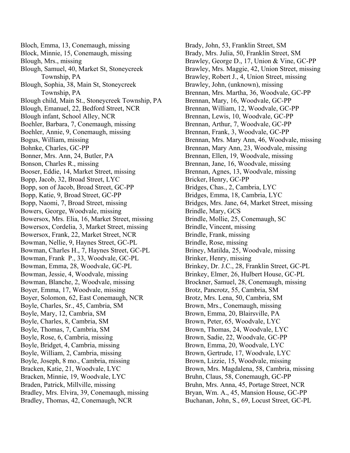Bloch, Emma, 13, Conemaugh, missing Block, Minnie, 15, Conemaugh, missing Blough, Mrs., missing Blough, Samuel, 40, Market St, Stoneycreek Township, PA Blough, Sophia, 38, Main St, Stoneycreek Township, PA Blough child, Main St., Stoneycreek Township, PA Blough, Emanuel, 22, Bedford Street, NCR Blough infant, School Alley, NCR Boehler, Barbara, 7, Conemaugh, missing Boehler, Annie, 9, Conemaugh, missing Bogus, William, missing Bohnke, Charles, GC-PP Bonner, Mrs. Ann, 24, Butler, PA Bonson, Charles R., missing Booser, Eddie, 14, Market Street, missing Bopp, Jacob, 32, Broad Street, LYC Bopp, son of Jacob, Broad Street, GC-PP Bopp, Katie, 9, Broad Street, GC-PP Bopp, Naomi, 7, Broad Street, missing Bowers, George, Woodvale, missing Bowersox, Mrs. Elia, 16, Market Street, missing Bowersox, Cordelia, 3, Market Street, missing Bowersox, Frank, 22, Market Street, NCR Bowman, Nellie, 9, Haynes Street, GC-PL Bowman, Charles H., 7, Haynes Street, GC-PL Bowman, Frank P., 33, Woodvale, GC-PL Bowman, Emma, 28, Woodvale, GC-PL Bowman, Jessie, 4, Woodvale, missing Bowman, Blanche, 2, Woodvale, missing Boyer, Emma, 17, Woodvale, missing Boyer, Solomon, 62, East Conemaugh, NCR Boyle, Charles, Sr., 45, Cambria, SM Boyle, Mary, 12, Cambria, SM Boyle, Charles, 8, Cambria, SM Boyle, Thomas, 7, Cambria, SM Boyle, Rose, 6, Cambria, missing Boyle, Bridget, 4, Cambria, missing Boyle, William, 2, Cambria, missing Boyle, Joseph, 8 mo., Cambria, missing Bracken, Katie, 21, Woodvale, LYC Bracken, Minnie, 19, Woodvale, LYC Braden, Patrick, Millville, missing Bradley, Mrs. Elvira, 39, Conemaugh, missing Bradley, Thomas, 42, Conemaugh, NCR

Brady, John, 53, Franklin Street, SM Brady, Mrs. Julia, 50, Franklin Street, SM Brawley, George D., 17, Union & Vine, GC-PP Brawley, Mrs. Maggie, 42, Union Street, missing Brawley, Robert J., 4, Union Street, missing Brawley, John, (unknown), missing Brennan, Mrs. Martha, 36, Woodvale, GC-PP Brennan, Mary, 16, Woodvale, GC-PP Brennan, William, 12, Woodvale, GC-PP Brennan, Lewis, 10, Woodvale, GC-PP Brennan, Arthur, 7, Woodvale, GC-PP Brennan, Frank, 3, Woodvale, GC-PP Brennan, Mrs. Mary Ann, 46, Woodvale, missing Brennan, Mary Ann, 23, Woodvale, missing Brennan, Ellen, 19, Woodvale, missing Brennan, Jane, 16, Woodvale, missing Brennan, Agnes, 13, Woodvale, missing Bricker, Henry, GC-PP Bridges, Chas., 2, Cambria, LYC Bridges, Emma, 18, Cambria, LYC Bridges, Mrs. Jane, 64, Market Street, missing Brindle, Mary, GCS Brindle, Mollie, 25, Conemaugh, SC Brindle, Vincent, missing Brindle, Frank, missing Brindle, Rose, missing Briney, Matilda, 25, Woodvale, missing Brinker, Henry, missing Brinkey, Dr. J.C., 28, Franklin Street, GC-PL Brinkey, Elmer, 26, Hulbert House, GC-PL Brockner, Samuel, 28, Conemaugh, missing Brotz, Pancrotz, 55, Cambria, SM Brotz, Mrs. Lena, 50, Cambria, SM Brown, Mrs., Conemaugh, missing Brown, Emma, 20, Blairsville, PA Brown, Peter, 65, Woodvale, LYC Brown, Thomas, 24, Woodvale, LYC Brown, Sadie, 22, Woodvale, GC-PP Brown, Emma, 20, Woodvale, LYC Brown, Gertrude, 17, Woodvale, LYC Brown, Lizzie, 15, Woodvale, missing Brown, Mrs. Magdalena, 58, Cambria, missing Bruhn, Claus, 58, Conemaugh, GC-PP Bruhn, Mrs. Anna, 45, Portage Street, NCR Bryan, Wm. A., 45, Mansion House, GC-PP Buchanan, John, S., 69, Locust Street, GC-PL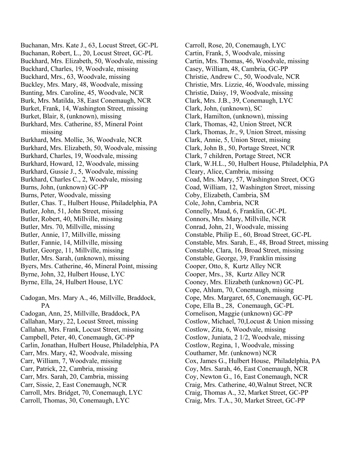Buchanan, Mrs. Kate J., 63, Locust Street, GC-PL Buchanan, Robert, L., 20, Locust Street, GC-PL Buckhard, Mrs. Elizabeth, 50, Woodvale, missing Buckhard, Charles, 19, Woodvale, missing Buckhard, Mrs., 63, Woodvale, missing Buckley, Mrs. Mary, 48, Woodvale, missing Bunting, Mrs. Caroline, 45, Woodvale, NCR Burk, Mrs. Matilda, 38, East Conemaugh, NCR Burket, Frank, 14, Washington Street, missing Burket, Blair, 8, (unknown), missing Burkhard, Mrs. Catherine, 85, Mineral Point missing Burkhard, Mrs. Mollie, 36, Woodvale, NCR Burkhard, Mrs. Elizabeth, 50, Woodvale, missing Burkhard, Charles, 19, Woodvale, missing Burkhard, Howard, 12, Woodvale, missing Burkhard, Gussie J., 5, Woodvale, missing Burkhard, Charles C., 2, Woodvale, missing Burns, John, (unknown) GC-PP Burns, Peter, Woodvale, missing Butler, Chas. T., Hulbert House, Philadelphia, PA Butler, John, 51, John Street, missing Butler, Robert, 40, Millville, missing Butler, Mrs. 70, Millville, missing Butler, Annie, 17, Millville, missing Butler, Fannie, 14, Millville, missing Butler, George, 11, Millville, missing Butler, Mrs. Sarah, (unknown), missing Byers, Mrs. Catherine, 46, Mineral Point, missing Byrne, John, 32, Hulbert House, LYC Byrne, Ella, 24, Hulbert House, LYC Cadogan, Mrs. Mary A., 46, Millville, Braddock, PA Cadogan, Ann, 25, Millville, Braddock, PA Callahan, Mary, 22, Locust Street, missing Callahan, Mrs. Frank, Locust Street, missing Campbell, Peter, 40, Conemaugh, GC-PP Carlin, Jonathan, Hulbert House, Philadelphia, PA Carr, Mrs. Mary, 42, Woodvale, missing Carr, William, 7, Woodvale, missing Carr, Patrick, 22, Cambria, missing Carr, Mrs. Sarah, 20, Cambria, missing

Carr, Sissie, 2, East Conemaugh, NCR

Carroll, Mrs. Bridget, 70, Conemaugh, LYC

Carroll, Thomas, 30, Conemaugh, LYC

Carroll, Rose, 20, Conemaugh, LYC Cartin, Frank, 5, Woodvale, missing Cartin, Mrs. Thomas, 46, Woodvale, missing Casey, William, 48, Cambria, GC-PP Christie, Andrew C., 50, Woodvale, NCR Christie, Mrs. Lizzie, 46, Woodvale, missing Christie, Daisy, 19, Woodvale, missing Clark, Mrs. J.B., 39, Conemaugh, LYC Clark, John, (unknown), SC Clark, Hamilton, (unknown), missing Clark, Thomas, 42, Union Street, NCR Clark, Thomas, Jr., 9, Union Street, missing Clark, Annie, 5, Union Street, missing Clark, John B., 50, Portage Street, NCR Clark, 7 children, Portage Street, NCR Clark, W.H.L., 50, Hulbert House, Philadelphia, PA Cleary, Alice, Cambria, missing Coad, Mrs. Mary, 57, Washington Street, OCG Coad, William, 12, Washington Street, missing Coby, Elizabeth, Cambria, SM Cole, John, Cambria, NCR Connelly, Maud, 6, Franklin, GC-PL Connors, Mrs. Mary, Millville, NCR Conrad, John, 21, Woodvale, missing Constable, Philip E., 60, Broad Street, GC-PL Constable, Mrs. Sarah, E., 48, Broad Street, missing Constable, Clara, 16, Broad Street, missing Constable, George, 39, Franklin missing Cooper, Otto, 8, Kurtz Alley NCR Cooper, Mrs., 38, Kurtz Alley NCR Cooney, Mrs. Elizabeth (unknown) GC-PL Cope, Ahlum, 70, Conemaugh, missing Cope, Mrs. Margaret, 65, Conemaugh, GC-PL Cope, Ella B., 28, Conemaugh, GC-PL Cornelison, Maggie (unknown) GC-PP Costlow, Michael, 70,Locust & Union missing Costlow, Zita, 6, Woodvale, missing Costlow, Juniata, 2 1/2, Woodvale, missing Costlow, Regina, 1, Woodvale, missing Couthamer, Mr. (unknown) NCR Cox, James G., Hulbert House, Philadelphia, PA Coy, Mrs. Sarah, 46, East Conemaugh, NCR Coy, Newton G., 16, East Conemaugh, NCR Craig, Mrs. Catherine, 40,Walnut Street, NCR Craig, Thomas A., 32, Market Street, GC-PP Craig, Mrs. T.A., 30, Market Street, GC-PP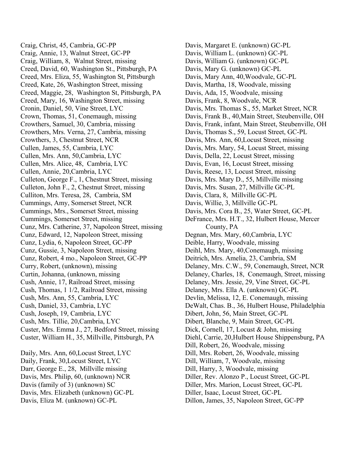Craig, Christ, 45, Cambria, GC-PP Craig, Annie, 13, Walnut Street, GC-PP Craig, William, 8, Walnut Street, missing Creed, David, 60, Washington St., Pittsburgh, PA Creed, Mrs. Eliza, 55, Washington St, Pittsburgh Creed, Kate, 26, Washington Street, missing Creed, Maggie, 28, Washington St, Pittsburgh, PA Creed, Mary, 16, Washington Street, missing Cronin, Daniel, 50, Vine Street, LYC Crown, Thomas, 51, Conemaugh, missing Crowthers, Samuel, 30, Cambria, missing Crowthers, Mrs. Verna, 27, Cambria, missing Crowthers, 3, Chestnut Street, NCR Cullen, James, 55, Cambria, LYC Cullen, Mrs. Ann, 50,Cambria, LYC Cullen, Mrs. Alice, 48, Cambria, LYC Cullen, Annie, 20,Cambria, LYC Culleton, George F., 1, Chestnut Street, missing Culleton, John F., 2, Chestnut Street, missing Culliton, Mrs. Teresa, 28, Cambria, SM Cummings, Amy, Somerset Street, NCR Cummings, Mrs., Somerset Street, missing Cummings, Somerset Street, missing Cunz, Mrs. Catherine, 37, Napoleon Street, missing Cunz, Edward, 12, Napoleon Street, missing Cunz, Lydia, 6, Napoleon Street, GC-PP Cunz, Gussie, 3, Napoleon Street, missing Cunz, Robert, 4 mo., Napoleon Street, GC-PP Curry, Robert, (unknown), missing Curtin, Johanna, (unknown, missing Cush, Annie, 17, Railroad Street, missing Cush, Thomas, 1 1/2, Railroad Street, missing Cush, Mrs. Ann, 55, Cambria, LYC Cush, Daniel, 33, Cambria, LYC Cush, Joseph, 19, Cambria, LYC Cush, Mrs. Tillie, 20,Cambria, LYC Custer, Mrs. Emma J., 27, Bedford Street, missing Custer, William H., 35, Millville, Pittsburgh, PA

Daily, Mrs. Ann, 60,Locust Street, LYC Daily, Frank, 30,Locust Street, LYC Darr, George E., 28, Millville missing Davis, Mrs. Philip, 60, (unknown) NCR Davis (family of 3) (unknown) SC Davis, Mrs. Elizabeth (unknown) GC-PL Davis, Eliza M. (unknown) GC-PL

Davis, Margaret E. (unknown) GC-PL Davis, William L. (unknown) GC-PL Davis, William G. (unknown) GC-PL Davis, Mary G. (unknown) GC-PL Davis, Mary Ann, 40,Woodvale, GC-PL Davis, Martha, 18, Woodvale, missing Davis, Ada, 15, Woodvale, missing Davis, Frank, 8, Woodvale, NCR Davis, Mrs. Thomas S., 55, Market Street, NCR Davis, Frank B., 40,Main Street, Steubenville, OH Davis, Frank, infant, Main Street, Steubenville, OH Davis, Thomas S., 59, Locust Street, GC-PL Davis, Mrs. Ann, 60,Locust Street, missing Davis, Mrs. Mary, 54, Locust Street, missing Davis, Della, 22, Locust Street, missing Davis, Evan, 16, Locust Street, missing Davis, Reese, 13, Locust Street, missing Davis, Mrs. Mary D., 55, Millville missing Davis, Mrs. Susan, 27, Millville GC-PL Davis, Clara, 8, Millville GC-PL Davis, Willie, 3, Millville GC-PL Davis, Mrs. Cora B., 25, Water Street, GC-PL DeFrance, Mrs. H.T., 32, Hulbert House, Mercer County, PA Degnan, Mrs. Mary, 60,Cambria, LYC Deible, Harry, Woodvale, missing Deihl, Mrs. Mary, 40,Conemaugh, missing Deitrich, Mrs. Amelia, 23, Cambria, SM Delaney, Mrs. C.W., 59, Conemaugh, Street, NCR Delaney, Charles, 18, Conemaugh, Street, missing Delaney, Mrs. Jessie, 29, Vine Street, GC-PL Delaney, Mrs. Ella A. (unknown) GC-PL Devlin, Melissa, 12, E. Conemaugh, missing DeWalt, Chas. B., 36, Hulbert House, Philadelphia Dibert, John, 56, Main Street, GC-PL Dibert, Blanche, 9, Main Street, GC-PL Dick, Cornell, 17, Locust & John, missing Diehl, Carrie, 20,Hulbert House Shippensburg, PA Dill, Robert, 26, Woodvale, missing Dill, Mrs. Robert, 26, Woodvale, missing Dill, William, 7, Woodvale, missing Dill, Harry, 3, Woodvale, missing Diller, Rev. Alonzo P., Locust Street, GC-PL Diller, Mrs. Marion, Locust Street, GC-PL Diller, Isaac, Locust Street, GC-PL Dillon, James, 35, Napoleon Street, GC-PP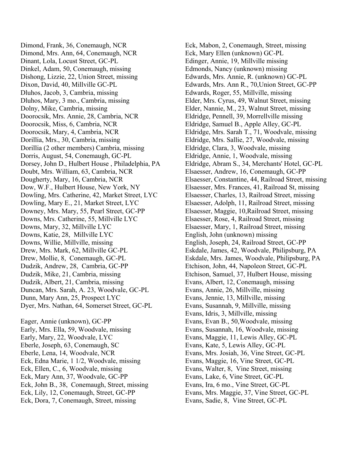Dimond, Frank, 36, Conemaugh, NCR Dimond, Mrs. Ann, 64, Conemaugh, NCR Dinant, Lola, Locust Street, GC-PL Dinkel, Adam, 50, Conemaugh, missing Dishong, Lizzie, 22, Union Street, missing Dixon, David, 40, Millville GC-PL Dluhos, Jacob, 3, Cambria, missing Dluhos, Mary, 3 mo., Cambria, missing Dolny, Mike, Cambria, missing Doorocsik, Mrs. Annie, 28, Cambria, NCR Doorocsik, Miss, 6, Cambria, NCR Doorocsik, Mary, 4, Cambria, NCR Dorillia, Mrs., 30, Cambria, missing Dorillia (2 other members) Cambria, missing Dorris, August, 54, Conemaugh, GC-PL Dorsey, John D., Hulbert House , Philadelphia, PA Doubt, Mrs. William, 63, Cambria, NCR Dougherty, Mary, 16, Cambria, NCR Dow, W.F., Hulbert House, New York, NY Dowling, Mrs. Catherine, 42, Market Street, LYC Dowling, Mary E., 21, Market Street, LYC Downey, Mrs. Mary, 55, Pearl Street, GC-PP Downs, Mrs. Catherine, 55, Millville LYC Downs, Mary, 32, Millville LYC Downs, Katie, 28, Millville LYC Downs, Willie, Millville, missing Drew, Mrs. Mark, 62, Millville GC-PL Drew, Mollie, 8, Conemaugh, GC-PL Dudzik, Andrew, 28, Cambria, GC-PP Dudzik, Mike, 21, Cambria, missing Dudzik, Albert, 21, Cambria, missing Duncan, Mrs. Sarah, A. 23, Woodvale, GC-PL Dunn, Mary Ann, 25, Prospect LYC Dyer, Mrs. Nathan, 64, Somerset Street, GC-PL Eager, Annie (unknown), GC-PP Early, Mrs. Ella, 59, Woodvale, missing

Early, Mary, 22, Woodvale, LYC Eberle, Joseph, 63, Conemaugh, SC Eberle, Lena, 14, Woodvale, NCR Eck, Edna Marie, 1 1/2, Woodvale, missing Eck, Ellen, C., 6, Woodvale, missing Eck, Mary Ann, 37, Woodvale, GC-PP Eck, John B., 38, Conemaugh, Street, missing Eck, Lily, 12, Conemaugh, Street, GC-PP Eck, Dora, 7, Conemaugh, Street, missing

Eck, Mabon, 2, Conemaugh, Street, missing Eck, Mary Ellen (unknown) GC-PL Edinger, Annie, 19, Millville missing Edmonds, Nancy (unknown) missing Edwards, Mrs. Annie, R. (unknown) GC-PL Edwards, Mrs. Ann R., 70,Union Street, GC-PP Edwards, Roger, 55, Millville, missing Elder, Mrs. Cyrus, 49, Walnut Street, missing Elder, Nannie, M., 23, Walnut Street, missing Eldridge, Pennell, 39, Morrellville missing Eldridge, Samuel B., Apple Alley, GC-PL Eldridge, Mrs. Sarah T., 71, Woodvale, missing Eldridge, Mrs. Sallie, 27, Woodvale, missing Eldridge, Clara, 3, Woodvale, missing Eldridge, Annie, 1, Woodvale, missing Eldridge, Abram S., 34, Merchants' Hotel, GC-PL Elsaesser, Andrew, 16, Conemaugh, GC-PP Elsaesser, Constantine, 44, Railroad Street, missing Elsaesser, Mrs. Frances, 41, Railroad St, missing Elsaesser, Charles, 13, Railroad Street, missing Elsaesser, Adolph, 11, Railroad Street, missing Elsaesser, Maggie, 10,Railroad Street, missing Elsaesser, Rose, 4, Railroad Street, missing Elsaesser, Mary, 1, Railroad Street, missing English, John (unknown) missing English, Joseph, 24, Railroad Street, GC-PP Eskdale, James, 42, Woodvale, Philipsburg, PA Eskdale, Mrs. James, Woodvale, Philipsburg, PA Etchison, John, 44, Napoleon Street, GC-PL Etchison, Samuel, 37, Hulbert House, missing Evans, Albert, 12, Conemaugh, missing Evans, Annie, 26, Millville, missing Evans, Jennie, 13, Millville, missing Evans, Susannah, 9, Millville, missing Evans, Idris, 3, Millville, missing Evans, Evan B., 50,Woodvale, missing Evans, Susannah, 16, Woodvale, missing Evans, Maggie, 11, Lewis Alley, GC-PL Evans, Kate, 5, Lewis Alley, GC-PL Evans, Mrs. Josiah, 36, Vine Street, GC-PL Evans, Maggie, 16, Vine Street, GC-PL Evans, Walter, 8, Vine Street, missing Evans, Lake, 6, Vine Street, GC-PL Evans, Ira, 6 mo., Vine Street, GC-PL Evans, Mrs. Maggie, 37, Vine Street, GC-PL Evans, Sadie, 8, Vine Street, GC-PL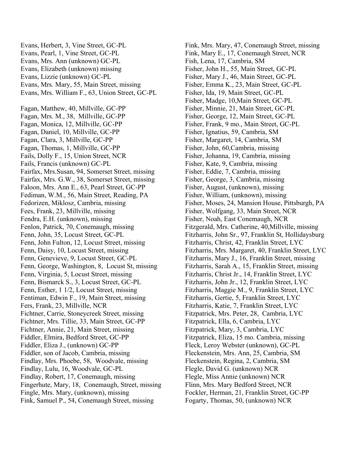Evans, Herbert, 3, Vine Street, GC-PL Evans, Pearl, 1, Vine Street, GC-PL Evans, Mrs. Ann (unknown) GC-PL Evans, Elizabeth (unknown) missing Evans, Lizzie (unknown) GC-PL Evans, Mrs. Mary, 55, Main Street, missing Evans, Mrs. William F., 63, Union Street, GC-PL Fagan, Matthew, 40, Millville, GC-PP Fagan, Mrs. M., 38, Millville, GC-PP Fagan, Monica, 12, Millville, GC-PP Fagan, Daniel, 10, Millville, GC-PP Fagan, Clara, 3, Millville, GC-PP Fagan, Thomas, 1, Millville, GC-PP Fails, Dolly F., 15, Union Street, NCR Fails, Francis (unknown) GC-PL Fairfax, Mrs.Susan, 94, Somerset Street, missing Fairfax, Mrs. G.W., 38, Somerset Street, missing Faloon, Mrs. Ann E., 63, Pearl Street, GC-PP Fediman, W.M., 56, Main Street, Reading, PA Fedorizen, Miklosz, Cambria, missing Fees, Frank, 23, Millville, missing Fendra, E.H. (unknown), missing Fenlon, Patrick, 70, Conemaugh, missing Fenn, John, 35, Locust Street, GC-PL Fenn, John Fulton, 12, Locust Street, missing Fenn, Daisy, 10, Locust Street, missing Fenn, Genevieve, 9, Locust Street, GC-PL Fenn, George, Washington, 8, Locust St, missing Fenn, Virginia, 5, Locust Street, missing Fenn, Bismarck S., 3, Locust Street, GC-PL Fenn, Esther, 1 1/2, Locust Street, missing Fentiman, Edwin F., 19, Main Street, missing Fers, Frank, 23, Millville, NCR Fichtner, Carrie, Stoneycreek Street, missing Fichtner, Mrs. Tillie, 33, Main Street, GC-PP Fichtner, Annie, 21, Main Street, missing Fiddler, Elmira, Bedford Street, GC-PP Fiddler, Eliza J., (unknown) GC-PP Fiddler, son of Jacob, Cambria, missing Findlay, Mrs. Phoebe, 58, Woodvale, missing Findlay, Lulu, 16, Woodvale, GC-PL Findlay, Robert, 17, Conemaugh, missing Fingerhute, Mary, 18, Conemaugh, Street, missing Fingle, Mrs. Mary, (unknown), missing Fink, Samuel P., 54, Conemaugh Street, missing

Fink, Mrs. Mary, 47, Conemaugh Street, missing Fink, Mary E., 17, Conemaugh Street, NCR Fish, Lena, 17, Cambria, SM Fisher, John H., 55, Main Street, GC-PL Fisher, Mary J., 46, Main Street, GC-PL Fisher, Emma K., 23, Main Street, GC-PL Fisher, Ida, 19, Main Street, GC-PL Fisher, Madge, 10,Main Street, GC-PL Fisher, Minnie, 21, Main Street, GC-PL Fisher, George, 12, Main Street, GC-PL Fisher, Frank, 9 mo., Main Street, GC-PL Fisher, Ignatius, 59, Cambria, SM Fisher, Margaret, 14, Cambria, SM Fisher, John, 60,Cambria, missing Fisher, Johanna, 19, Cambria, missing Fisher, Kate, 9, Cambria, missing Fisher, Eddie, 7, Cambria, missing Fisher, George, 3, Cambria, missing Fisher, August, (unknown), missing Fisher, William, (unknown), missing Fisher, Moses, 24, Mansion House, Pittsburgh, PA Fisher, Wolfgang, 33, Main Street, NCR Fisher, Noah, East Conemaugh, NCR Fitzgerald, Mrs. Catherine, 40,Millville, missing Fitzharris, John Sr., 97, Franklin St, Hollidaysburg Fitzharris, Christ, 42, Franklin Street, LYC Fitzharris, Mrs. Margaret, 40, Franklin Street, LYC Fitzharris, Mary J., 16, Franklin Street, missing Fitzharris, Sarah A., 15, Franklin Street, missing Fitzharris, Christ Jr., 14, Franklin Street, LYC Fitzharris, John Jr., 12, Franklin Street, LYC Fitzharris, Maggie M., 9, Franklin Street, LYC Fitzharris, Gertie, 5, Franklin Street, LYC Fitzharris, Katie, 7, Franklin Street, LYC Fitzpatrick, Mrs. Peter, 28, Cambria, LYC Fitzpatrick, Ella, 6, Cambria, LYC Fitzpatrick, Mary, 3, Cambria, LYC Fitzpatrick, Eliza, 15 mo. Cambria, missing Fleck, Leroy Webster (unknown), GC-PL Fleckenstein, Mrs. Ann, 25, Cambria, SM Fleckenstein, Regina, 2, Cambria, SM Flegle, David G. (unknown) NCR Flegle, Miss Annie (unknown) NCR Flinn, Mrs. Mary Bedford Street, NCR Fockler, Herman, 21, Franklin Street, GC-PP Fogarty, Thomas, 50, (unknown) NCR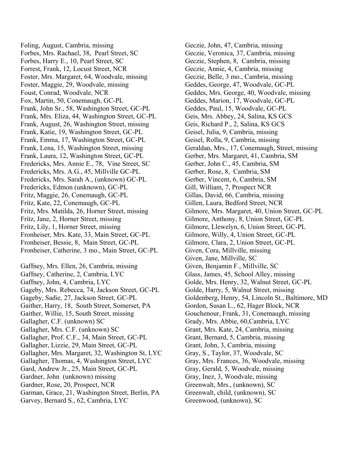Foling, August, Cambria, missing Forbes, Mrs. Rachael, 38, Pearl Street, SC Forbes, Harry E., 10, Pearl Street, SC Forrest, Frank, 12, Locust Street, NCR Foster, Mrs. Margaret, 64, Woodvale, missing Foster, Maggie, 29, Woodvale, missing Foust, Conrad, Woodvale, NCR Fox, Martin, 50, Conemaugh, GC-PL Frank, John Sr., 58, Washington Street, GC-PL Frank, Mrs. Eliza, 44, Washington Street, GC-PL Frank, August, 26, Washington Street, missing Frank, Katie, 19, Washington Street, GC-PL Frank, Emma, 17, Washington Street, GC-PL Frank, Lena, 15, Washington Street, missing Frank, Laura, 12, Washington Street, GC-PL Fredericks, Mrs. Annie E., 78, Vine Street, SC Fredericks, Mrs. A.G., 45, Millville GC-PL Fredericks, Mrs. Sarah A., (unknown) GC-PL Fredericks, Edmon (unknown), GC-PL Fritz, Maggie, 26, Conemaugh, GC-PL Fritz, Kate, 22, Conemaugh, GC-PL Fritz, Mrs. Matilda, 26, Horner Street, missing Fritz, Jane, 2, Horner Street, missing Fritz, Lily, 1, Horner Street, missing Fronheiser, Mrs. Kate, 33, Main Street, GC-PL Fronheiser, Bessie, 8, Main Street, GC-PL Fronheiser, Catherine, 3 mo., Main Street, GC-PL Gaffney, Mrs. Ellen, 26, Cambria, missing Gaffney, Catherine, 2, Cambria, LYC Gaffney, John, 4, Cambria, LYC Gageby, Mrs. Rebecca, 74, Jackson Street, GC-PL Gageby, Sadie, 27, Jackson Street, GC-PL Gaither, Harry, 18, South Street, Somerset, PA Gaither, Willie, 15, South Street, missing Gallagher, C.F. (unknown) SC Gallagher, Mrs. C.F. (unknown) SC Gallagher, Prof. C.F., 34, Main Street, GC-PL Gallagher, Lizzie, 29, Main Street, GC-PL Gallagher, Mrs. Margaret, 32, Washington St, LYC Gallagher, Thomas, 4, Washington Street, LYC Gard, Andrew Jr., 25, Main Street, GC-PL Gardner, John (unknown) missing Gardner, Rose, 20, Prospect, NCR Garman, Grace, 21, Washington Street, Berlin, PA

Garvey, Bernard S., 62, Cambria, LYC

Geczie, John, 47, Cambria, missing Geczie, Veronica, 37, Cambria, missing Geczie, Stephen, 8, Cambria, missing Geczie, Annie, 4, Cambria, missing Geczie, Belle, 3 mo., Cambria, missing Geddes, George, 47, Woodvale, GC-PL Geddes, Mrs. George, 40, Woodvale, missing Geddes, Marion, 17, Woodvale, GC-PL Geddes, Paul, 15, Woodvale, GC-PL Geis, Mrs. Abbey, 24, Salina, KS GCS Geis, Richard P., 2, Salina, KS GCS Geisel, Julia, 9, Cambria, missing Geisel, Rolla, 9, Cambria, missing Geraldan, Mrs., 17, Conemaugh, Street, missing Gerber, Mrs. Margaret, 41, Cambria, SM Gerber, John C., 45, Cambria, SM Gerber, Rose, 8, Cambria, SM Gerber, Vincent, 6, Cambria, SM Gill, William, 7, Prospect NCR Gillas, David, 66, Cambria, missing Gillen, Laura, Bedford Street, NCR Gilmore, Mrs. Margaret, 40, Union Street, GC-PL Gilmore, Anthony, 8, Union Street, GC-PL Gilmore, Llewelyn, 6, Union Street, GC-PL Gilmore, Willy, 4, Union Street, GC-PL Gilmore, Clara, 2, Union Street, GC-PL Given, Cora, Millville, missing Given, Jane, Millville, SC Given, Benjamin F., Millville, SC Glass, James, 45, School Alley, missing Golde, Mrs. Henry, 32, Walnut Street, GC-PL Golde, Harry, 5, Walnut Street, missing Goldenberg, Henry, 54, Lincoln St., Baltimore, MD Gordon, Susan L., 62, Hager Block, NCR Gouchenour, Frank, 31, Conemaugh, missing Grady, Mrs. Abbie, 60,Cambria, LYC Grant, Mrs. Kate, 24, Cambria, missing Grant, Bernard, 5, Cambria, missing Grant, John, 3, Cambria, missing Gray, S., Taylor, 37, Woodvale, SC Gray, Mrs. Frances, 36, Woodvale, missing Gray, Gerald, 5, Woodvale, missing Gray, Inez, 3, Woodvale, missing Greenwalt, Mrs., (unknown), SC Greenwalt, child, (unknown), SC Greenwood, (unknown), SC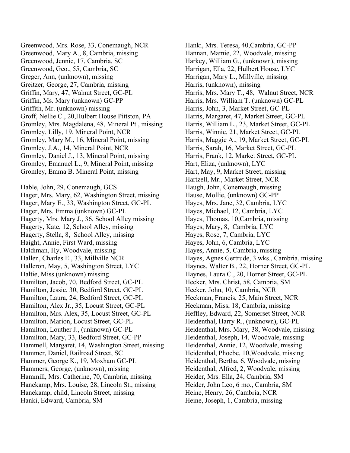Greenwood, Mrs. Rose, 33, Conemaugh, NCR Greenwood, Mary A., 8, Cambria, missing Greenwood, Jennie, 17, Cambria, SC Greenwood, Geo., 55, Cambria, SC Greger, Ann, (unknown), missing Greitzer, George, 27, Cambria, missing Griffin, Mary, 47, Walnut Street, GC-PL Griffin, Ms. Mary (unknown) GC-PP Griffith, Mr. (unknown) missing Groff, Nellie C., 20,Hulbert House Pittston, PA Gromley, Mrs. Magdalena, 48, Mineral Pt , missing Gromley, Lilly, 19, Mineral Point, NCR Gromley, Mary M., 16, Mineral Point, missing Gromley, J.A., 14, Mineral Point, NCR Gromley, Daniel J., 13, Mineral Point, missing Gromley, Emanuel L., 9, Mineral Point, missing Gromley, Emma B. Mineral Point, missing

Hable, John, 29, Conemaugh, GCS Hager, Mrs. Mary, 62, Washington Street, missing Hager, Mary E., 33, Washington Street, GC-PL Hager, Mrs. Emma (unknown) GC-PL Hagerty, Mrs. Mary J., 36, School Alley missing Hagerty, Kate, 12, School Alley, missing Hagerty, Stella, 8, School Alley, missing Haight, Annie, First Ward, missing Haldiman, Hy, Woodvale, missing Hallen, Charles E., 33, Millville NCR Halleron, May, 5, Washington Street, LYC Haltie, Miss (unknown) missing Hamilton, Jacob, 70, Bedford Street, GC-PL Hamilton, Jessie, 30, Bedford Street, GC-PL Hamilton, Laura, 24, Bedford Street, GC-PL Hamilton, Alex Jr., 35, Locust Street, GC-PL Hamilton, Mrs. Alex, 35, Locust Street, GC-PL Hamilton, Marion, Locust Street, GC-PL Hamilton, Louther J., (unknown) GC-PL Hamilton, Mary, 33, Bedford Street, GC-PP Hammell, Margaret, 14, Washington Street, missing Hammer, Daniel, Railroad Street, SC Hammer, George K., 19, Moxham GC-PL Hammers, George, (unknown), missing Hammill, Mrs. Catherine, 70, Cambria, missing Hanekamp, Mrs. Louise, 28, Lincoln St., missing Hanekamp, child, Lincoln Street, missing Hanki, Edward, Cambria, SM

Hanki, Mrs. Teresa, 40,Cambria, GC-PP Hannan, Mamie, 22, Woodvale, missing Harkey, William G., (unknown), missing Harrigan, Ella, 22, Hulbert House, LYC Harrigan, Mary L., Millville, missing Harris, (unknown), missing Harris, Mrs. Mary T., 48, Walnut Street, NCR Harris, Mrs. William T. (unknown) GC-PL Harris, John, 3, Market Street, GC-PL Harris, Margaret, 47, Market Street, GC-PL Harris, William L., 23, Market Street, GC-PL Harris, Winnie, 21, Market Street, GC-PL Harris, Maggie A., 19, Market Street, GC-PL Harris, Sarah, 16, Market Street, GC-PL Harris, Frank, 12, Market Street, GC-PL Hart, Eliza, (unknown), LYC Hart, May, 9, Market Street, missing Hartzell, Mr., Market Street, NCR Haugh, John, Conemaugh, missing Hause, Mollie, (unknown) GC-PP Hayes, Mrs. Jane, 32, Cambria, LYC Hayes, Michael, 12, Cambria, LYC Hayes, Thomas, 10,Cambria, missing Hayes, Mary, 8, Cambria, LYC Hayes, Rose, 7, Cambria, LYC Hayes, John, 6, Cambria, LYC Hayes, Annie, 5, Cambria, missing Hayes, Agnes Gertrude, 3 wks., Cambria, missing Haynes, Walter B., 22, Horner Street, GC-PL Haynes, Laura C., 20, Horner Street, GC-PL Hecker, Mrs. Christ, 58, Cambria, SM Hecker, John, 10, Cambria, NCR Heckman, Francis, 25, Main Street, NCR Heckman, Miss, 18, Cambria, missing Heffley, Edward, 22, Somerset Street, NCR Heidenthal, Harry R., (unknown), GC-PL Heidenthal, Mrs. Mary, 38, Woodvale, missing Heidenthal, Joseph, 14, Woodvale, missing Heidenthal, Annie, 12, Woodvale, missing Heidenthal, Phoebe, 10,Woodvale, missing Heidenthal, Bertha, 6, Woodvale, missing Heidenthal, Alfred, 2, Woodvale, missing Heider, Mrs. Ella, 24, Cambria, SM Heider, John Leo, 6 mo., Cambria, SM Heine, Henry, 26, Cambria, NCR Heine, Joseph, 1, Cambria, missing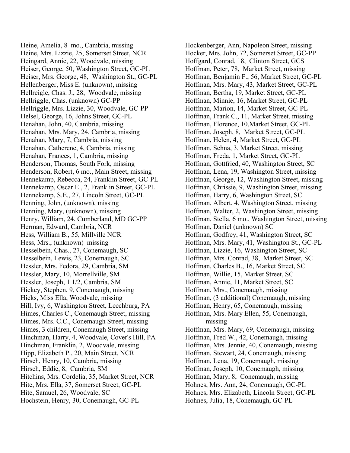Heine, Amelia, 8 mo., Cambria, missing Heine, Mrs. Lizzie, 25, Somerset Street, NCR Heingard, Annie, 22, Woodvale, missing Heiser, George, 50, Washington Street, GC-PL Heiser, Mrs. George, 48, Washington St., GC-PL Hellenberger, Miss E. (unknown), missing Hellreigle, Chas. J., 28, Woodvale, missing Hellriggle, Chas. (unknown) GC-PP Hellriggle, Mrs. Lizzie, 30, Woodvale, GC-PP Helsel, George, 16, Johns Street, GC-PL Henahan, John, 40, Cambria, missing Henahan, Mrs. Mary, 24, Cambria, missing Henahan, Mary, 7, Cambria, missing Henahan, Catherene, 4, Cambria, missing Henahan, Frances, 1, Cambria, missing Henderson, Thomas, South Fork, missing Henderson, Robert, 6 mo., Main Street, missing Hennekamp, Rebecca, 24, Franklin Street, GC-PL Hennekamp, Oscar E., 2, Franklin Street, GC-PL Hennekamp, S.E., 27, Lincoln Street, GC-PL Henning, John, (unknown), missing Henning, Mary, (unknown), missing Henry, William, 24, Cumberland, MD GC-PP Herman, Edward, Cambria, NCR Hess, William B., 55, Millville NCR Hess, Mrs., (unknown) missing Hesselbein, Chas., 27, Conemaugh, SC Hesselbein, Lewis, 23, Conemaugh, SC Hessler, Mrs. Fedora, 29, Cambria, SM Hessler, Mary, 10, Morrellville, SM Hessler, Joseph, 1 1/2, Cambria, SM Hickey, Stephen, 9, Conemaugh, missing Hicks, Miss Ella, Woodvale, missing Hill, Ivy, 6, Washington Street, Leechburg, PA Himes, Charles C., Conemaugh Street, missing Himes, Mrs. C.C., Conemaugh Street, missing Himes, 3 children, Conemaugh Street, missing Hinchman, Harry, 4, Woodvale, Cover's Hill, PA Hinchman, Franklin, 2, Woodvale, missing Hipp, Elizabeth P., 20, Main Street, NCR Hirsch, Henry, 10, Cambria, missing Hirsch, Eddie, 8, Cambria, SM Hitchins, Mrs. Cordelia, 35, Market Street, NCR Hite, Mrs. Ella, 37, Somerset Street, GC-PL Hite, Samuel, 26, Woodvale, SC Hochstein, Henry, 30, Conemaugh, GC-PL

Hockenberger, Ann, Napoleon Street, missing Hocker, Mrs. John, 72, Somerset Street, GC-PP Hoffgard, Conrad, 18, Clinton Street, GCS Hoffman, Peter, 78, Market Street, missing Hoffman, Benjamin F., 56, Market Street, GC-PL Hoffman, Mrs. Mary, 43, Market Street, GC-PL Hoffman, Bertha, 19, Market Street, GC-PL Hoffman, Minnie, 16, Market Street, GC-PL Hoffman, Marion, 14, Market Street, GC-PL Hoffman, Frank C., 11, Market Street, missing Hoffman, Florence, 10,Market Street, GC-PL Hoffman, Joseph, 8, Market Street, GC-PL Hoffman, Helen, 4, Market Street, GC-PL Hoffman, Sehna, 3, Market Street, missing Hoffman, Freda, 1, Market Street, GC-PL Hoffman, Gottfried, 40, Washington Street, SC Hoffman, Lena, 19, Washington Street, missing Hoffman, George, 12, Washington Street, missing Hoffman, Chrissie, 9, Washington Street, missing Hoffman, Harry, 6, Washington Street, SC Hoffman, Albert, 4, Washington Street, missing Hoffman, Walter, 2, Washington Street, missing Hoffman, Stella, 6 mo., Washington Street, missing Hoffman, Daniel (unknown) SC Hoffman, Godfrey, 41, Washington Street, SC Hoffman, Mrs. Mary, 41, Washington St., GC-PL Hoffman, Lizzie, 16, Washington Street, SC Hoffman, Mrs. Conrad, 38, Market Street, SC Hoffman, Charles B., 16, Market Street, SC Hoffman, Willie, 15, Market Street, SC Hoffman, Annie, 11, Market Street, SC Hoffman, Mrs., Conemaugh, missing Hoffman, (3 additional) Conemaugh, missing Hoffman, Henry, 65, Conemaugh, missing Hoffman, Mrs. Mary Ellen, 55, Conemaugh, missing Hoffman, Mrs. Mary, 69, Conemaugh, missing Hoffman, Fred W., 42, Conemaugh, missing Hoffman, Mrs. Jennie, 40, Conemaugh, missing Hoffman, Stewart, 24, Conemaugh, missing Hoffman, Lena, 19, Conemaugh, missing Hoffman, Joseph, 10, Conemaugh, missing Hoffman, Mary, 8, Conemaugh, missing Hohnes, Mrs. Ann, 24, Conemaugh, GC-PL Hohnes, Mrs. Elizabeth, Lincoln Street, GC-PL Hohnes, Julia, 18, Conemaugh, GC-PL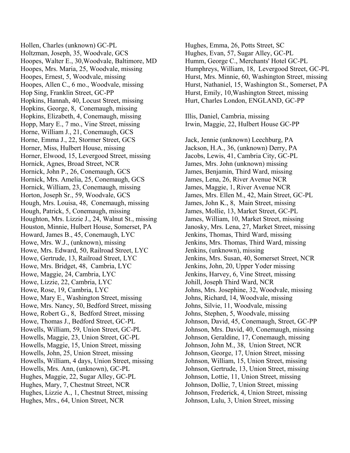Hollen, Charles (unknown) GC-PL Holtzman, Joseph, 35, Woodvale, GCS Hoopes, Walter E., 30,Woodvale, Baltimore, MD Hoopes, Mrs. Maria, 25, Woodvale, missing Hoopes, Ernest, 5, Woodvale, missing Hoopes, Allen C., 6 mo., Woodvale, missing Hop Sing, Franklin Street, GC-PP Hopkins, Hannah, 40, Locust Street, missing Hopkins, George, 8, Conemaugh, missing Hopkins, Elizabeth, 4, Conemaugh, missing Hopp, Mary E., 7 mo., Vine Street, missing Horne, William J., 21, Conemaugh, GCS Horne, Emma J., 22, Stormer Street, GCS Horner, Miss, Hulbert House, missing Horner, Elwood, 15, Levergood Street, missing Hornick, Agnes, Broad Street, NCR Hornick, John P., 26, Conemaugh, GCS Hornick, Mrs. Amelia, 25, Conemaugh, GCS Hornick, William, 23, Conemaugh, missing Horton, Joseph Sr., 59, Woodvale, GCS Hough, Mrs. Louisa, 48, Conemaugh, missing Hough, Patrick, 5, Conemaugh, missing Houghton, Mrs. Lizzie J., 24, Walnut St., missing Houston, Minnie, Hulbert House, Somerset, PA Howard, James B., 45, Conemaugh, LYC Howe, Mrs. W.J., (unknown), missing Howe, Mrs. Edward, 50, Railroad Street, LYC Howe, Gertrude, 13, Railroad Street, LYC Howe, Mrs. Bridget, 48, Cambria, LYC Howe, Maggie, 24, Cambria, LYC Howe, Lizzie, 22, Cambria, LYC Howe, Rose, 19, Cambria, LYC Howe, Mary E., Washington Street, missing Howe, Mrs. Nancy, 50, Bedford Street, missing Howe, Robert G., 8, Bedford Street, missing Howe, Thomas J., Bedford Street, GC-PL Howells, William, 59, Union Street, GC-PL Howells, Maggie, 23, Union Street, GC-PL Howells, Maggie, 15, Union Street, missing Howells, John, 25, Union Street, missing Howells, William, 4 days, Union Street, missing Howells, Mrs. Ann, (unknown), GC-PL Hughes, Maggie, 22, Sugar Alley, GC-PL Hughes, Mary, 7, Chestnut Street, NCR Hughes, Lizzie A., 1, Chestnut Street, missing Hughes, Mrs., 64, Union Street, NCR

Hughes, Emma, 26, Potts Street, SC Hughes, Evan, 57, Sugar Alley, GC-PL Humm, George C., Merchants' Hotel GC-PL Humphreys, William, 18, Levergood Street, GC-PL Hurst, Mrs. Minnie, 60, Washington Street, missing Hurst, Nathaniel, 15, Washington St., Somerset, PA Hurst, Emily, 10,Washington Street, missing Hurt, Charles London, ENGLAND, GC-PP

Illis, Daniel, Cambria, missing Irwin, Maggie, 22, Hulbert House GC-PP

Jack, Jennie (unknown) Leechburg, PA Jackson, H.A., 36, (unknown) Derry, PA Jacobs, Lewis, 41, Cambria City, GC-PL James, Mrs. John (unknown) missing James, Benjamin, Third Ward, missing James, Lena, 26, River Avenue NCR James, Maggie, 1, River Avenue NCR James, Mrs. Ellen M., 42, Main Street, GC-PL James, John K., 8, Main Street, missing James, Mollie, 13, Market Street, GC-PL James, William, 10, Market Street, missing Janosky, Mrs. Lena, 27, Market Street, missing Jenkins, Thomas, Third Ward, missing Jenkins, Mrs. Thomas, Third Ward, missing Jenkins, (unknown), missing Jenkins, Mrs. Susan, 40, Somerset Street, NCR Jenkins, John, 20, Upper Yoder missing Jenkins, Harvey, 6, Vine Street, missing Johill, Joseph Third Ward, NCR Johns, Mrs. Josephine, 32, Woodvale, missing Johns, Richard, 14, Woodvale, missing Johns, Silvie, 11, Woodvale, missing Johns, Stephen, 5, Woodvale, missing Johnson, David, 45, Conemaugh, Street, GC-PP Johnson, Mrs. David, 40, Conemaugh, missing Johnson, Geraldine, 17, Conemaugh, missing Johnson, John M., 38, Union Street, NCR Johnson, George, 17, Union Street, missing Johnson, William, 15, Union Street, missing Johnson, Gertrude, 13, Union Street, missing Johnson, Lottie, 11, Union Street, missing Johnson, Dollie, 7, Union Street, missing Johnson, Frederick, 4, Union Street, missing Johnson, Lulu, 3, Union Street, missing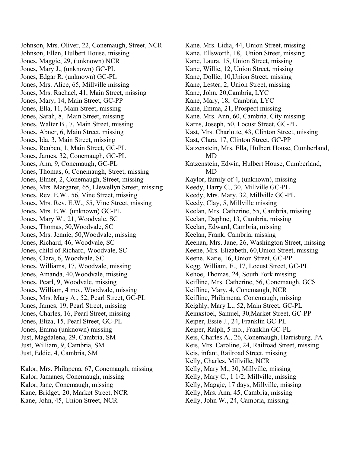Johnson, Mrs. Oliver, 22, Conemaugh, Street, NCR Johnson, Ellen, Hulbert House, missing Jones, Maggie, 29, (unknown) NCR Jones, Mary J., (unknown) GC-PL Jones, Edgar R. (unknown) GC-PL Jones, Mrs. Alice, 65, Millville missing Jones, Mrs. Rachael, 41, Main Street, missing Jones, Mary, 14, Main Street, GC-PP Jones, Ella, 11, Main Street, missing Jones, Sarah, 8, Main Street, missing Jones, Walter B., 7, Main Street, missing Jones, Abner, 6, Main Street, missing Jones, Ida, 3, Main Street, missing Jones, Reuben, 1, Main Street, GC-PL Jones, James, 32, Conemaugh, GC-PL Jones, Ann, 9, Conemaugh, GC-PL Jones, Thomas, 6, Conemaugh, Street, missing Jones, Elmer, 2, Conemaugh, Street, missing Jones, Mrs. Margaret, 65, Llewellyn Street, missing Jones, Rev. E.W., 56, Vine Street, missing Jones, Mrs. Rev. E.W., 55, Vine Street, missing Jones, Mrs. E.W. (unknown) GC-PL Jones, Mary W., 21, Woodvale, SC Jones, Thomas, 50,Woodvale, SC Jones, Mrs. Jennie, 50,Woodvale, missing Jones, Richard, 46, Woodvale, SC Jones, child of Richard, Woodvale, SC Jones, Clara, 6, Woodvale, SC Jones, Williams, 17, Woodvale, missing Jones, Amanda, 40,Woodvale, missing Jones, Pearl, 9, Woodvale, missing Jones, William, 4 mo., Woodvale, missing Jones, Mrs. Mary A., 52, Pearl Street, GC-PL Jones, James, 19, Pearl Street, missing Jones, Charles, 16, Pearl Street, missing Jones, Eliza, 15, Pearl Street, GC-PL Jones, Emma (unknown) missing Just, Magdalena, 29, Cambria, SM Just, William, 9, Cambria, SM Just, Eddie, 4, Cambria, SM

Kalor, Mrs. Philapena, 67, Conemaugh, missing Kalor, Jamanes, Conemaugh, missing Kalor, Jane, Conemaugh, missing Kane, Bridget, 20, Market Street, NCR Kane, John, 45, Union Street, NCR

Kane, Mrs. Lidia, 44, Union Street, missing Kane, Ellsworth, 18, Union Street, missing Kane, Laura, 15, Union Street, missing Kane, Willie, 12, Union Street, missing Kane, Dollie, 10,Union Street, missing Kane, Lester, 2, Union Street, missing Kane, John, 20,Cambria, LYC Kane, Mary, 18, Cambria, LYC Kane, Emma, 21, Prospect missing Kane, Mrs. Ann, 60, Cambria, City missing Karns, Joseph, 50, Locust Street, GC-PL Kast, Mrs. Charlotte, 43, Clinton Street, missing Kast, Clara, 17, Clinton Street, GC-PP Katzenstein, Mrs. Ella, Hulbert House, Cumberland, MD Katzenstein, Edwin, Hulbert House, Cumberland, MD Kaylor, family of 4, (unknown), missing Keedy, Harry C., 30, Millville GC-PL Keedy, Mrs. Mary, 32, Millville GC-PL Keedy, Clay, 5, Millville missing Keelan, Mrs. Catherine, 55, Cambria, missing Keelan, Daphne, 13, Cambria, missing Keelan, Edward, Cambria, missing Keelan, Frank, Cambria, missing Keenan, Mrs. Jane, 26, Washington Street, missing Keene, Mrs. Elizabeth, 60,Union Street, missing Keene, Katie, 16, Union Street, GC-PP Kegg, William, E., 17, Locust Street, GC-PL Kehoe, Thomas, 24, South Fork missing Keifline, Mrs. Catherine, 56, Conemaugh, GCS Keifline, Mary, 4, Conemaugh, NCR Keifline, Philamena, Conemaugh, missing Keighly, Mary L., 52, Main Street, GC-PL Keinxstoel, Samuel, 30,Market Street, GC-PP Keiper, Essie J., 24, Franklin GC-PL Keiper, Ralph, 5 mo., Franklin GC-PL Keis, Charles A., 26, Conemaugh, Harrisburg, PA Keis, Mrs. Caroline, 24, Railroad Street, missing Keis, infant, Railroad Street, missing Kelly, Charles, Millville, NCR Kelly, Mary M., 30, Millville, missing Kelly, Mary C., 1 1/2, Millville, missing Kelly, Maggie, 17 days, Millville, missing Kelly, Mrs. Ann, 45, Cambria, missing Kelly, John W., 24, Cambria, missing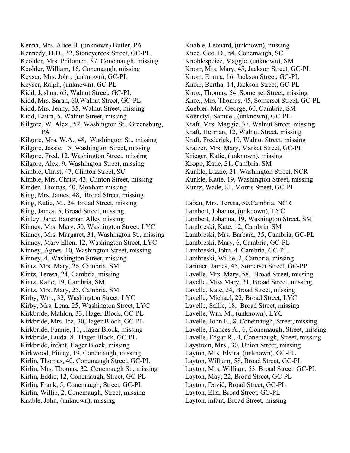Kenna, Mrs. Alice B. (unknown) Butler, PA Kennedy, H.D., 32, Stoneycreek Street, GC-PL Keohler, Mrs. Philomen, 87, Conemaugh, missing Keohler, William, 16, Conemaugh, missing Keyser, Mrs. John, (unknown), GC-PL Keyser, Ralph, (unknown), GC-PL Kidd, Joshua, 65, Walnut Street, GC-PL Kidd, Mrs. Sarah, 60,Walnut Street, GC-PL Kidd, Mrs. Jenny, 35, Walnut Street, missing Kidd, Laura, 5, Walnut Street, missing Kilgore, W. Alex., 52, Washington St., Greensburg, PA Kilgore, Mrs. W.A., 48, Washington St., missing Kilgore, Jessie, 15, Washington Street, missing Kilgore, Fred, 12, Washington Street, missing Kilgore, Alex, 9, Washington Street, missing Kimble, Christ, 47, Clinton Street, SC Kimble, Mrs. Christ, 43, Clinton Street, missing Kinder, Thomas, 40, Moxham missing King, Mrs. James, 48, Broad Street, missing King, Katie, M., 24, Broad Street, missing King, James, 5, Broad Street, missing Kinley, Jane, Bausman Alley missing Kinney, Mrs. Mary, 50, Washington Street, LYC Kinney, Mrs. Margaret, 31, Washington St., missing Kinney, Mary Ellen, 12, Washington Street, LYC Kinney, Agnes, 10, Washington Street, missing Kinney, 4, Washington Street, missing Kintz, Mrs. Mary, 26, Cambria, SM Kintz, Teresa, 24, Cambria, missing Kintz, Katie, 19, Cambria, SM Kintz, Mrs. Mary, 25, Cambria, SM Kirby, Wm., 32, Washington Street, LYC Kirby, Mrs. Lena, 25, Washington Street, LYC Kirkbride, Mahlon, 33, Hager Block, GC-PL Kirkbride, Mrs. Ida, 30,Hager Block, GC-PL Kirkbride, Fannie, 11, Hager Block, missing Kirkbride, Luida, 8, Hager Block, GC-PL Kirkbride, infant, Hager Block, missing Kirkwood, Finley, 19, Conemaugh, missing Kirlin, Thomas, 40, Conemaugh Street, GC-PL Kirlin, Mrs. Thomas, 32, Conemaugh St., missing Kirlin, Eddie, 12, Conemaugh, Street, GC-PL Kirlin, Frank, 5, Conemaugh, Street, GC-PL Kirlin, Willie, 2, Conemaugh, Street, missing Knable, John, (unknown), missing

Knable, Leonard, (unknown), missing Knee, Geo. D., 54, Conemaugh, SC Knoblespeice, Maggie, (unknown), SM Knorr, Mrs. Mary, 45, Jackson Street, GC-PL Knorr, Emma, 16, Jackson Street, GC-PL Knorr, Bertha, 14, Jackson Street, GC-PL Knox, Thomas, 54, Somerset Street, missing Knox, Mrs. Thomas, 45, Somerset Street, GC-PL Koebler, Mrs. George, 60, Cambria, SM Koenstyl, Samuel, (unknown), GC-PL Kraft, Mrs. Maggie, 37, Walnut Street, missing Kraft, Herman, 12, Walnut Street, missing Kraft, Frederick, 10, Walnut Street, missing Kratzer, Mrs. Mary, Market Street, GC-PL Krieger, Katie, (unknown), missing Kropp, Katie, 21, Cambria, SM Kunkle, Lizzie, 21, Washington Street, NCR Kunkle, Katie, 19, Washington Street, missing Kuntz, Wade, 21, Morris Street, GC-PL

Laban, Mrs. Teresa, 50,Cambria, NCR Lambert, Johanna, (unknown), LYC Lambert, Johanna, 19, Washington Street, SM Lambreski, Kate, 12, Cambria, SM Lambreski, Mrs. Barbara, 35, Cambria, GC-PL Lambreski, Mary, 6, Cambria, GC-PL Lambreski, John, 4, Cambria, GC-PL Lambreski, Willie, 2, Cambria, missing Larimer, James, 45, Somerset Street, GC-PP Lavelle, Mrs. Mary, 58, Broad Street, missing Lavelle, Miss Mary, 31, Broad Street, missing Lavelle, Kate, 24, Broad Street, missing Lavelle, Michael, 22, Broad Street, LYC Lavelle, Sallie, 18, Broad Street, missing Lavelle, Wm. M., (unknown), LYC Lavelle, John F., 8, Conemaugh, Street, missing Lavelle, Frances A., 6, Conemaugh, Street, missing Lavelle, Edgar R., 4, Conemaugh, Street, missing Laystrom, Mrs., 30, Union Street, missing Layton, Mrs. Elvira, (unknown), GC-PL Layton, William, 58, Broad Street, GC-PL Layton, Mrs. William, 53, Broad Street, GC-PL Layton, May, 22, Broad Street, GC-PL Layton, David, Broad Street, GC-PL Layton, Ella, Broad Street, GC-PL Layton, infant, Broad Street, missing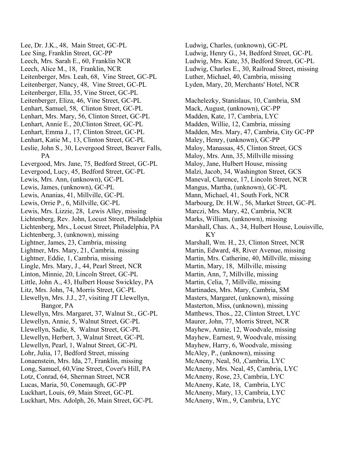Lee, Dr. J.K., 48, Main Street, GC-PL Lee Sing, Franklin Street, GC-PP Leech, Mrs. Sarah E., 60, Franklin NCR Leech, Alice M., 18, Franklin, NCR Leitenberger, Mrs. Leah, 68, Vine Street, GC-PL Leitenberger, Nancy, 48, Vine Street, GC-PL Leitenberger, Ella, 35, Vine Street, GC-PL Leitenberger, Eliza, 46, Vine Street, GC-PL Lenhart, Samuel, 58, Clinton Street, GC-PL Lenhart, Mrs. Mary, 56, Clinton Street, GC-PL Lenhart, Annie E., 20,Clinton Street, GC-PL Lenhart, Emma J., 17, Clinton Street, GC-PL Lenhart, Katie M., 13, Clinton Street, GC-PL Leslie, John S., 30, Levergood Street, Beaver Falls, PA Levergood, Mrs. Jane, 75, Bedford Street, GC-PL Levergood, Lucy, 45, Bedford Street, GC-PL Lewis, Mrs. Ann, (unknown), GC-PL Lewis, James, (unknown), GC-PL Lewis, Ananias, 41, Millville, GC-PL Lewis, Orrie P., 6, Millville, GC-PL Lewis, Mrs. Lizzie, 28, Lewis Alley, missing Lichtenberg, Rev. John, Locust Street, Philadelphia Lichtenberg, Mrs., Locust Street, Philadelphia, PA Lichtenberg, 3, (unknown), missing Lightner, James, 23, Cambria, missing Lightner, Mrs. Mary, 21, Cambria, missing Lightner, Eddie, 1, Cambria, missing Lingle, Mrs. Mary, J., 44, Pearl Street, NCR Linton, Minnie, 20, Lincoln Street, GC-PL Little, John A., 43, Hulbert House Swickley, PA Litz, Mrs. John, 74, Morris Street, GC-PL Llewellyn, Mrs. J.J., 27, visiting JT Llewellyn, Bangor, PA Llewellyn, Mrs. Margaret, 37, Walnut St., GC-PL Llewellyn, Annie, 5, Walnut Street, GC-PL Llewellyn, Sadie, 8, Walnut Street, GC-PL Llewellyn, Herbert, 3, Walnut Street, GC-PL Llewellyn, Pearl, 1, Walnut Street, GC-PL Lohr, Julia, 17, Bedford Street, missing Lonaenstein, Mrs. Ida, 27, Franklin, missing Long, Samuel, 60,Vine Street, Cover's Hill, PA Lotz, Conrad, 64, Sherman Street, NCR Lucas, Maria, 50, Conemaugh, GC-PP Luckhart, Louis, 69, Main Street, GC-PL Luckhart, Mrs. Adolph, 26, Main Street, GC-PL

Ludwig, Charles, (unknown), GC-PL Ludwig, Henry G., 34, Bedford Street, GC-PL Ludwig, Mrs. Kate, 35, Bedford Street, GC-PL Ludwig, Charles E., 30, Railroad Street, missing Luther, Michael, 40, Cambria, missing Lyden, Mary, 20, Merchants' Hotel, NCR

Machelezky, Stanislaus, 10, Cambria, SM Mack, August, (unknown), GC-PP Madden, Kate, 17, Cambria, LYC Madden, Willie, 12, Cambria, missing Madden, Mrs. Mary, 47, Cambria, City GC-PP Maley, Henry, (unknown), GC-PP Maloy, Manassas, 45, Clinton Street, GCS Maloy, Mrs. Ann, 35, Millville missing Maloy, Jane, Hulbert House, missing Malzi, Jacob, 34, Washington Street, GCS Maneval, Clarence, 17, Lincoln Street, NCR Mangus, Martha, (unknown), GC-PL Mann, Michael, 41, South Fork, NCR Marbourg, Dr. H.W., 56, Market Street, GC-PL Marczi, Mrs. Mary, 42, Cambria, NCR Marks, William, (unknown), missing Marshall, Chas. A., 34, Hulbert House, Louisville, KY Marshall, Wm. H., 23, Clinton Street, NCR Martin, Edward, 48, River Avenue, missing Martin, Mrs. Catherine, 40, Millville, missing Martin, Mary, 18, Millville, missing Martin, Ann, 7, Millville, missing Martin, Celia, 7, Millville, missing Martinades, Mrs. Mary, Cambria, SM Masters, Margaret, (unknown), missing Masterton, Miss, (unknown), missing Matthews, Thos., 22, Clinton Street, LYC Maurer, John, 77, Morris Street, NCR Mayhew, Annie, 12, Woodvale, missing Mayhew, Earnest, 9, Woodvale, missing Mayhew, Harry, 6, Woodvale, missing McAley, P., (unknown), missing McAneny, Neal, 50, ,Cambria, LYC McAneny, Mrs. Neal, 45, Cambria, LYC McAneny, Rose, 23, Cambria, LYC McAneny, Kate, 18, Cambria, LYC McAneny, Mary, 13, Cambria, LYC McAneny, Wm., 9, Cambria, LYC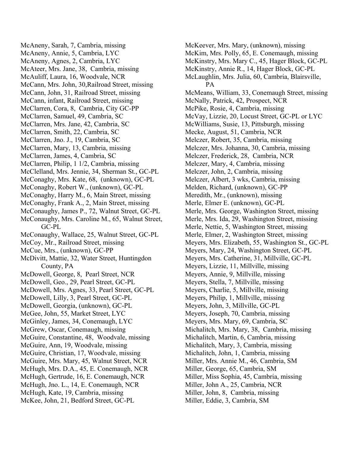McAneny, Sarah, 7, Cambria, missing McAneny, Annie, 5, Cambria, LYC McAneny, Agnes, 2, Cambria, LYC McAteer, Mrs. Jane, 38, Cambria, missing McAuliff, Laura, 16, Woodvale, NCR McCann, Mrs. John, 30,Railroad Street, missing McCann, John, 31, Railroad Street, missing McCann, infant, Railroad Street, missing McClarren, Cora, 8, Cambria, City GC-PP McClarren, Samuel, 49, Cambria, SC McClarren, Mrs. Jane, 42, Cambria, SC McClarren, Smith, 22, Cambria, SC McClarren, Jno. J., 19, Cambria, SC McClarren, Mary, 13, Cambria, missing McClarren, James, 4, Cambria, SC McClarren, Philip, 1 1/2, Cambria, missing McClelland, Mrs. Jennie, 34, Sherman St., GC-PL McConaghy, Mrs. Kate, 68, (unknown), GC-PL McConaghy, Robert W., (unknown), GC-PL McConaghy, Harry M., 6, Main Street, missing McConaghy, Frank A., 2, Main Street, missing McConaughy, James P., 72, Walnut Street, GC-PL McConaughy, Mrs. Caroline M., 65, Walnut Street, GC-PL McConaughy, Wallace, 25, Walnut Street, GC-PL McCoy, Mr., Railroad Street, missing McCue, Mrs., (unknown), GC-PP McDivitt, Mattie, 32, Water Street, Huntingdon County, PA McDowell, George, 8, Pearl Street, NCR McDowell, Geo., 29, Pearl Street, GC-PL McDowell, Mrs. Agnes, 33, Pearl Street, GC-PL McDowell, Lilly, 3, Pearl Street, GC-PL McDowell, Georgia, (unknown), GC-PL McGee, John, 55, Market Street, LYC McGinley, James, 34, Conemaugh, LYC McGrew, Oscar, Conemaugh, missing McGuire, Constantine, 48, Woodvale, missing McGuire, Ann, 19, Woodvale, missing McGuire, Christian, 17, Woodvale, missing McGuire, Mrs. Mary, 45, Walnut Street, NCR McHugh, Mrs. D.A., 45, E. Conemaugh, NCR McHugh, Gertrude, 16, E. Conemaugh, NCR McHugh, Jno. L., 14, E. Conemaugh, NCR McHugh, Kate, 19, Cambria, missing McKee, John, 21, Bedford Street, GC-PL

McKeever, Mrs. Mary, (unknown), missing McKim, Mrs. Polly, 65, E. Conemaugh, missing McKinstry, Mrs. Mary C., 45, Hager Block, GC-PL McKinstry, Annie R., 14, Hager Block, GC-PL McLaughlin, Mrs. Julia, 60, Cambria, Blairsville, PA McMeans, William, 33, Conemaugh Street, missing McNally, Patrick, 42, Prospect, NCR McPike, Rosie, 4, Cambria, missing McVay, Lizzie, 20, Locust Street, GC-PL or LYC McWilliams, Susie, 13, Pittsburgh, missing Mecke, August, 51, Cambria, NCR Melczer, Robert, 35, Cambria, missing Melczer, Mrs. Johanna, 30, Cambria, missing Melczer, Frederick, 28, Cambria, NCR Melczer, Mary, 4, Cambria, missing Melczer, John, 2, Cambria, missing Melczer, Albert, 3 wks, Cambria, missing Melden, Richard, (unknown), GC-PP Meredith, Mr., (unknown), missing Merle, Elmer E. (unknown), GC-PL Merle, Mrs. George, Washington Street, missing Merle, Mrs. Ida, 29, Washington Street, missing Merle, Nettie, 5, Washington Street, missing Merle, Elmer, 2, Washington Street, missing Meyers, Mrs. Elizabeth, 55, Washington St., GC-PL Meyers, Mary, 24, Washington Street, GC-PL Meyers, Mrs. Catherine, 31, Millville, GC-PL Meyers, Lizzie, 11, Millville, missing Meyers, Annie, 9, Millville, missing Meyers, Stella, 7, Millville, missing Meyers, Charlie, 5, Millville, missing Meyers, Philip, 1, Millville, missing Meyers, John, 3, Millville, GC-PL Meyers, Joseph, 70, Cambria, missing Meyers, Mrs. Mary, 69, Cambria, SC Michalitch, Mrs. Mary, 38, Cambria, missing Michalitch, Martin, 6, Cambria, missing Michalitch, Mary, 3, Cambria, missing Michalitch, John, 1, Cambria, missing Miller, Mrs. Annie M., 46, Cambria, SM Miller, George, 65, Cambria, SM Miller, Miss Sophia, 45, Cambria, missing Miller, John A., 25, Cambria, NCR Miller, John, 8, Cambria, missing Miller, Eddie, 3, Cambria, SM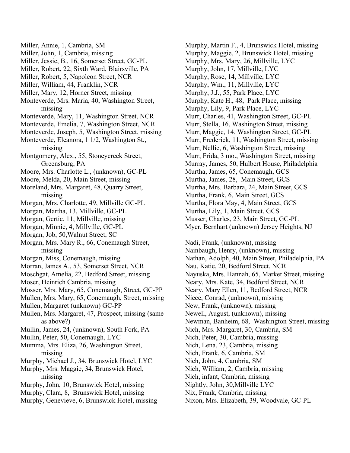- Miller, Annie, 1, Cambria, SM
- Miller, John, 1, Cambria, missing
- Miller, Jessie, B., 16, Somerset Street, GC-PL
- Miller, Robert, 22, Sixth Ward, Blairsville, PA
- Miller, Robert, 5, Napoleon Street, NCR
- Miller, William, 44, Franklin, NCR
- Miller, Mary, 12, Horner Street, missing
- Monteverde, Mrs. Maria, 40, Washington Street, missing
- Monteverde, Mary, 11, Washington Street, NCR
- Monteverde, Emelia, 7, Washington Street, NCR
- Monteverde, Joseph, 5, Washington Street, missing
- Monteverde, Eleanora, 1 1/2, Washington St., missing
- Montgomery, Alex., 55, Stoneycreek Street, Greensburg, PA
- Moore, Mrs. Charlotte L., (unknown), GC-PL
- Moore, Melda, 20, Main Street, missing
- Moreland, Mrs. Margaret, 48, Quarry Street, missing
- Morgan, Mrs. Charlotte, 49, Millville GC-PL
- Morgan, Martha, 13, Millville, GC-PL
- Morgan, Gertie, 11, Millville, missing
- Morgan, Minnie, 4, Millville, GC-PL
- Morgan, Job, 50,Walnut Street, SC
- Morgan, Mrs. Mary R., 66, Conemaugh Street, missing
- Morgan, Miss, Conemaugh, missing
- Morran, James A., 53, Somerset Street, NCR
- Moschgat, Amelia, 22, Bedford Street, missing
- Moser, Heinrich Cambria, missing
- Mosser, Mrs. Mary, 65, Conemaugh, Street, GC-PP
- Mullen, Mrs. Mary, 65, Conemaugh, Street, missing
- Mullen, Margaret (unknown) GC-PP
- Mullen, Mrs. Margaret, 47, Prospect, missing (same as above?)
- Mullin, James, 24, (unknown), South Fork, PA
- Mullin, Peter, 50, Conemaugh, LYC
- Mumma, Mrs. Eliza, 26, Washington Street, missing
- Murphy, Michael J., 34, Brunswick Hotel, LYC
- Murphy, Mrs. Maggie, 34, Brunswick Hotel, missing
- Murphy, John, 10, Brunswick Hotel, missing
- Murphy, Clara, 8, Brunswick Hotel, missing
- Murphy, Genevieve, 6, Brunswick Hotel, missing

Murphy, Martin F., 4, Brunswick Hotel, missing Murphy, Maggie, 2, Brunswick Hotel, missing Murphy, Mrs. Mary, 26, Millville, LYC Murphy, John, 17, Millville, LYC Murphy, Rose, 14, Millville, LYC Murphy, Wm., 11, Millville, LYC Murphy, J.J., 55, Park Place, LYC Murphy, Kate H., 48, Park Place, missing Murphy, Lily, 9, Park Place, LYC Murr, Charles, 41, Washington Street, GC-PL Murr, Stella, 16, Washington Street, missing Murr, Maggie, 14, Washington Street, GC-PL Murr, Frederick, 11, Washington Street, missing Murr, Nellie, 6, Washington Street, missing Murr, Frida, 3 mo., Washington Street, missing Murray, James, 50, Hulbert House, Philadelphia Murtha, James, 65, Conemaugh, GCS Murtha, James, 28, Main Street, GCS Murtha, Mrs. Barbara, 24, Main Street, GCS Murtha, Frank, 6, Main Street, GCS Murtha, Flora May, 4, Main Street, GCS Murtha, Lily, 1, Main Street, GCS Musser, Charles, 23, Main Street, GC-PL Myer, Bernhart (unknown) Jersey Heights, NJ

Nadi, Frank, (unknown), missing Nainbaugh, Henry, (unknown), missing Nathan, Adolph, 40, Main Street, Philadelphia, PA Nau, Katie, 20, Bedford Street, NCR Nayuska, Mrs. Hannah, 65, Market Street, missing Neary, Mrs. Kate, 34, Bedford Street, NCR Neary, Mary Ellen, 11, Bedford Street, NCR Niece, Conrad, (unknown), missing New, Frank, (unknown), missing Newell, August, (unknown), missing Newman, Banheim, 68, Washington Street, missing Nich, Mrs. Margaret, 30, Cambria, SM Nich, Peter, 30, Cambria, missing Nich, Lena, 23, Cambria, missing Nich, Frank, 6, Cambria, SM Nich, John, 4, Cambria, SM Nich, William, 2, Cambria, missing Nich, infant, Cambria, missing Nightly, John, 30,Millville LYC Nix, Frank, Cambria, missing Nixon, Mrs. Elizabeth, 39, Woodvale, GC-PL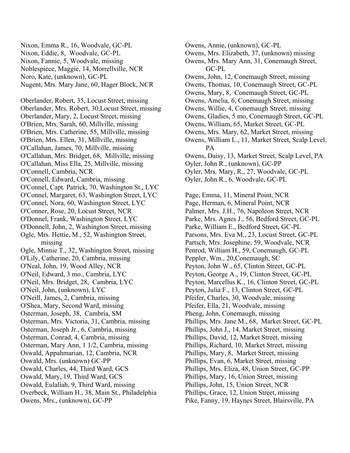Nixon, Emma R., 16, Woodvale, GC-PL Nixon, Eddie, 8, Woodvale, GC-PL Nixon, Fannie, 5, Woodvale, missing Noblespiece, Maggie, 14, Morrellville, NCR Noro, Kate, (unknown), GC-PL Nugent, Mrs. Mary Jane, 60, Hager Block, NCR

Oberlander, Robert, 35, Locust Street, missing Oberlander, Mrs. Robert, 30,Locust Street, missing Oberlander, Mary, 2, Locust Street, missing O'Brien, Mrs. Sarah, 60, Millville, missing O'Brien, Mrs. Catherine, 55, Millville, missing O'Brien, Mrs. Ellen, 31, Millville, missing O'Callahan, James, 70, Millville, missing O'Callahan, Mrs. Bridget, 68, Millville, missing O'Callahan, Miss Ella, 25, Millville, missing O'Connell, Cambria, NCR O'Connell, Edward, Cambria, missing O'Connel, Capt. Patrick, 70, Washington St., LYC O'Connel, Margaret, 63, Washington Street, LYC O'Connel, Nora, 60, Washington Street, LYC O'Conner, Rose, 20, Locust Street, NCR O'Donnel, Frank, Washington Street, LYC O'Donnell, John, 2, Washington Street, missing Ogle, Mrs. Hettie, M., 52, Washington Street, missing Ogle, Minnie T., 32, Washington Street, missing O'Lily, Catherine, 20, Cambria, missing O'Neal, John, 19, Wood Alley, NCR O'Neil, Edward, 3 mo., Cambria, LYC O'Neil, Mrs. Bridget, 28, Cambria, LYC O'Neil, John, (unknown), LYC O'Neill, James, 2, Cambria, missing O'Shea, Mary, Second Ward, missing Osterman, Joseph, 38, Cambria, SM Osterman, Mrs. Victoria, 31, Cambria, missing Osterman, Joseph Jr., 6, Cambria, missing Osterman, Conrad, 4, Cambria, missing Osterman, Mary Ann, 1 1/2, Cambria, missing Oswald, Appahmarian, 12, Cambria, NCR Oswald, Mrs. (unknown) GC-PP Oswald, Charles, 44, Third Ward, GCS Oswald, Mary, 19, Third Ward, GCS Oswald, Eulaliah, 9, Third Ward, missing Overbeck, William H., 38, Main St., Philadelphia Owens, Mrs., (unknown), GC-PP

Owens, Annie, (unknown), GC-PL Owens, Mrs. Elizabeth, 37, (unknown) missing Owens, Mrs. Mary Ann, 31, Conemaugh Street, GC-PL Owens, John, 12, Conemaugh Street, missing Owens, Thomas, 10, Conemaugh Street, GC-PL Owens, Mary, 8, Conemaugh Street, GC-PL Owens, Amelia, 6, Conemaugh Street, missing Owens, Willie, 4, Conemaugh Street, missing Owens, Gladies, 5 mo, Conemaugh Street, GC-PL Owens, William, 65, Market Street, GC-PL Owens, Mrs. Mary, 62, Market Street, missing Owens, William L., 11, Market Street, Scalp Level, PA Owens, Daisy, 13, Market Street, Scalp Level, PA Oyler, John R., (unknown), GC-PP Oyler, Mrs. Mary, R., 27, Woodvale, GC-PL Oyler, John R., 6, Woodvale, GC-PL

Page, Emma, 11, Mineral Point, NCR Page, Herman, 6, Mineral Point, NCR Palmer, Mrs. J.H., 76, Napoleon Street, NCR Parke, Mrs. Agnes J., 56, Bedford Street, GC-PL Parke, William E., Bedford Street, GC-PL Parsons, Mrs. Eva M., 23, Locust Street, GC-PL Partsch, Mrs. Josephine, 59, Woodvale, NCR Penrod, William H., 59, Conemaugh, GC-PL Peppler, Wm., 20,Conemaugh, SC Peyton, John W., 65, Clinton Street, GC-PL Peyton, George A., 19, Clinton Street, GC-PL Peyton, Marcellus K., 16, Clinton Street, GC-PL Peyton, Julia F., 13, Clinton Street, GC-PL Pfeifer, Charles, 30, Woodvale, missing Pfeifer, Ella, 21, Woodvale, missing Pheng, John, Conemaugh, missing Phillips, Mrs. Jane M., 68, Market Street, GC-PL Phillips, John J., 14, Market Street, missing Phillips, David, 12, Market Street, missing Phillips, Richard, 10, Market Street, missing Phillips, Mary, 8, Market Street, missing Phillips, Evan, 6, Market Street, missing Phillips, Mrs. Eliza, 48, Union Street, GC-PP Phillips, Mary, 16, Union Street, missing Phillips, John, 15, Union Street, NCR Phillips, Grace, 12, Union Street, missing Pike, Fanny, 19, Haynes Street, Blairsville, PA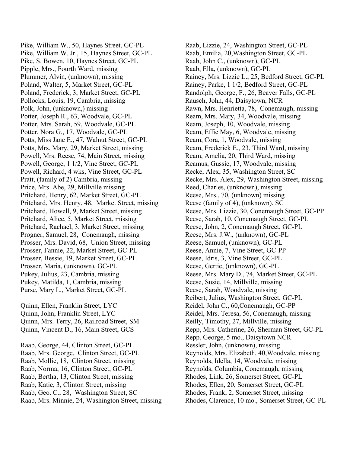Pike, William W., 50, Haynes Street, GC-PL Pike, William W. Jr., 15, Haynes Street, GC-PL Pike, S. Bowen, 10, Haynes Street, GC-PL Pipple, Mrs., Fourth Ward, missing Plummer, Alvin, (unknown), missing Poland, Walter, 5, Market Street, GC-PL Poland, Frederick, 3, Market Street, GC-PL Pollocks, Louis, 19, Cambria, missing Polk, John, (unknown,) missing Potter, Joseph R., 63, Woodvale, GC-PL Potter, Mrs. Sarah, 59, Woodvale, GC-PL Potter, Nora G., 17, Woodvale, GC-PL Potts, Miss Jane E., 47, Walnut Street, GC-PL Potts, Mrs. Mary, 29, Market Street, missing Powell, Mrs. Reese, 74, Main Street, missing Powell, George, 1 1/2, Vine Street, GC-PL Powell, Richard, 4 wks, Vine Street, GC-PL Pratt, (family of 2) Cambria, missing Price, Mrs. Abe, 29, Millville missing Pritchard, Henry, 62, Market Street, GC-PL Pritchard, Mrs. Henry, 48, Market Street, missing Pritchard, Howell, 9, Market Street, missing Pritchard, Alice, 5, Market Street, missing Pritchard, Rachael, 3, Market Street, missing Progner, Samuel, 28, Conemaugh, missing Prosser, Mrs. David, 68, Union Street, missing Prosser, Fannie, 22, Market Street, GC-PL Prosser, Bessie, 19, Market Street, GC-PL Prosser, Maria, (unknown), GC-PL Pukey, Julius, 23, Cambria, missing Pukey, Matilda, 1, Cambria, missing Purse, Mary L., Market Street, GC-PL

Quinn, Ellen, Franklin Street, LYC Quinn, John, Franklin Street, LYC Quinn, Mrs. Terry, 26, Railroad Street, SM Quinn, Vincent D., 16, Main Street, GCS

Raab, George, 44, Clinton Street, GC-PL Raab, Mrs. George, Clinton Street, GC-PL Raab, Mollie, 18, Clinton Street, missing Raab, Norma, 16, Clinton Street, GC-PL Raab, Bertha, 13, Clinton Street, missing Raab, Katie, 3, Clinton Street, missing Raab, Geo. C., 28, Washington Street, SC Raab, Mrs. Minnie, 24, Washington Street, missing Raab, Lizzie, 24, Washington Street, GC-PL Raab, Emilia, 20,Washington Street, GC-PL Raab, John C., (unknown), GC-PL Raab, Ella, (unknown), GC-PL Rainey, Mrs. Lizzie L., 25, Bedford Street, GC-PL Rainey, Parke, 1 1/2, Bedford Street, GC-PL Randolph, George, F., 26, Beaver Falls, GC-PL Rausch, John, 44, Daisytown, NCR Rawn, Mrs. Henrietta, 78, Conemaugh, missing Ream, Mrs. Mary, 34, Woodvale, missing Ream, Joseph, 10, Woodvale, missing Ream, Effie May, 6, Woodvale, missing Ream, Cora, 1, Woodvale, missing Ream, Frederick E., 23, Third Ward, missing Ream, Amelia, 20, Third Ward, missing Reamus, Gussie, 17, Woodvale, missing Recke, Alex, 35, Washington Street, SC Recke, Mrs. Alex, 29, Washington Street, missing Reed, Charles, (unknown), missing Reese, Mrs., 70, (unknown) missing Reese (family of 4), (unknown), SC Reese, Mrs. Lizzie, 30, Conemaugh Street, GC-PP Reese, Sarah, 10, Conemaugh Street, GC-PL Reese, John, 2, Conemaugh Street, GC-PL Reese, Mrs. J.W., (unknown), GC-PL Reese, Samuel, (unknown), GC-PL Reese, Annie, 7, Vine Street, GC-PP Reese, Idris, 3, Vine Street, GC-PL Reese, Gertie, (unknown), GC-PL Reese, Mrs. Mary D., 74, Market Street, GC-PL Reese, Susie, 14, Millville, missing Reese, Sarah, Woodvale, missing Reibert, Julius, Washington Street, GC-PL Reidel, John C., 60,Conemaugh, GC-PP Reidel, Mrs. Teresa, 56, Conemaugh, missing Reilly, Timothy, 27, Millville, missing Repp, Mrs. Catherine, 26, Sherman Street, GC-PL Repp, George, 5 mo., Daisytown NCR Ressler, John, (unknown), missing Reynolds, Mrs. Elizabeth, 40,Woodvale, missing Reynolds, Idella, 14, Woodvale, missing Reynolds, Columbia, Conemaugh, missing Rhodes, Link, 26, Somerset Street, GC-PL Rhodes, Ellen, 20, Somerset Street, GC-PL Rhodes, Frank, 2, Somerset Street, missing Rhodes, Clarence, 10 mo., Somerset Street, GC-PL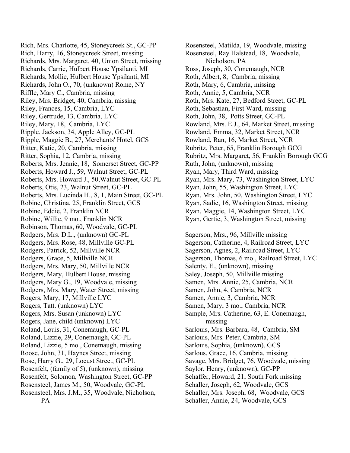Rich, Mrs. Charlotte, 45, Stoneycreek St., GC-PP Rich, Harry, 16, Stoneycreek Street, missing Richards, Mrs. Margaret, 40, Union Street, missing Richards, Carrie, Hulbert House Ypsilanti, MI Richards, Mollie, Hulbert House Ypsilanti, MI Richards, John O., 70, (unknown) Rome, NY Riffle, Mary C., Cambria, missing Riley, Mrs. Bridget, 40, Cambria, missing Riley, Frances, 15, Cambria, LYC Riley, Gertrude, 13, Cambria, LYC Riley, Mary, 18, Cambria, LYC Ripple, Jackson, 34, Apple Alley, GC-PL Ripple, Maggie B., 27, Merchants' Hotel, GCS Ritter, Katie, 20, Cambria, missing Ritter, Sophia, 12, Cambria, missing Roberts, Mrs. Jennie, 18, Somerset Street, GC-PP Roberts, Howard J., 59, Walnut Street, GC-PL Roberts, Mrs. Howard J., 50,Walnut Street, GC-PL Roberts, Otis, 23, Walnut Street, GC-PL Roberts, Mrs. Lucinda H., 8, 1, Main Street, GC-PL Robine, Christina, 25, Franklin Street, GCS Robine, Eddie, 2, Franklin NCR Robine, Willie, 9 mo., Franklin NCR Robinson, Thomas, 60, Woodvale, GC-PL Rodgers, Mrs. D.L., (unknown) GC-PL Rodgers, Mrs. Rose, 48, Millville GC-PL Rodgers, Patrick, 52, Millville NCR Rodgers, Grace, 5, Millville NCR Rodgers, Mrs. Mary, 50, Millville NCR Rodgers, Mary, Hulbert House, missing Rodgers, Mary G., 19, Woodvale, missing Rodgers, Mrs. Mary, Water Street, missing Rogers, Mary, 17, Millville LYC Rogers, Tatt. (unknown) LYC Rogers, Mrs. Susan (unknown) LYC Rogers, Jane, child (unknown) LYC Roland, Louis, 31, Conemaugh, GC-PL Roland, Lizzie, 29, Conemaugh, GC-PL Roland, Lizzie, 5 mo., Conemaugh, missing Roose, John, 31, Haynes Street, missing Rose, Harry G., 29, Locust Street, GC-PL Rosenfelt, (family of 5), (unknown), missing Rosenfelt, Solomon, Washington Street, GC-PP Rosensteel, James M., 50, Woodvale, GC-PL Rosensteel, Mrs. J.M., 35, Woodvale, Nicholson, PA

Rosensteel, Matilda, 19, Woodvale, missing Rosensteel, Ray Halstead, 18, Woodvale, Nicholson, PA Ross, Joseph, 30, Conemaugh, NCR Roth, Albert, 8, Cambria, missing Roth, Mary, 6, Cambria, missing Roth, Annie, 5, Cambria, NCR Roth, Mrs. Kate, 27, Bedford Street, GC-PL Roth, Sebastian, First Ward, missing Roth, John, 38, Potts Street, GC-PL Rowland, Mrs. E.J., 64, Market Street, missing Rowland, Emma, 32, Market Street, NCR Rowland, Ran, 16, Market Street, NCR Rubritz, Peter, 65, Franklin Borough GCG Rubritz, Mrs. Margaret, 56, Franklin Borough GCG Ruth, John, (unknown), missing Ryan, Mary, Third Ward, missing Ryan, Mrs. Mary, 73, Washington Street, LYC Ryan, John, 55, Washington Street, LYC Ryan, Mrs. John, 50, Washington Street, LYC Ryan, Sadie, 16, Washington Street, missing Ryan, Maggie, 14, Washington Street, LYC Ryan, Gertie, 3, Washington Street, missing Sagerson, Mrs., 96, Millville missing Sagerson, Catherine, 4, Railroad Street, LYC Sagerson, Agnes, 2, Railroad Street, LYC Sagerson, Thomas, 6 mo., Railroad Street, LYC Salenty, E., (unknown), missing

Saley, Joseph, 50, Millville missing Samen, Mrs. Annie, 25, Cambria, NCR

Sample, Mrs. Catherine, 63, E. Conemaugh,

Savage, Mrs. Bridget, 76, Woodvale, missing

Schaffer, Howard, 21, South Fork missing Schaller, Joseph, 62, Woodvale, GCS Schaller, Mrs. Joseph, 68, Woodvale, GCS

Sarlouis, Mrs. Barbara, 48, Cambria, SM

Sarlouis, Mrs. Peter, Cambria, SM Sarlouis, Sophia, (unknown), GCS Sarlous, Grace, 16, Cambria, missing

Saylor, Henry, (unknown), GC-PP

Schaller, Annie, 24, Woodvale, GCS

Samen, John, 4, Cambria, NCR Samen, Annie, 3, Cambria, NCR Samen, Mary, 3 mo., Cambria, NCR

missing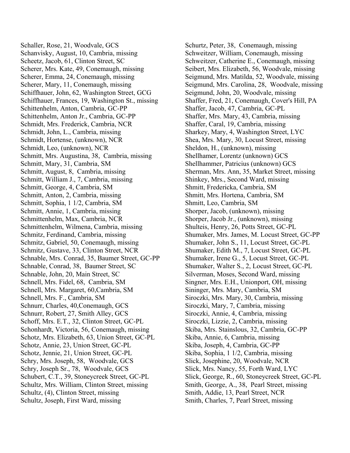Schaller, Rose, 21, Woodvale, GCS Schanvisky, August, 10, Cambria, missing Scheetz, Jacob, 61, Clinton Street, SC Scherer, Mrs. Kate, 49, Conemaugh, missing Scherer, Emma, 24, Conemaugh, missing Scherer, Mary, 11, Conemaugh, missing Schiffhauer, John, 62, Washington Street, GCG Schiffhauer, Frances, 19, Washington St., missing Schittenhelm, Anton, Cambria, GC-PP Schittenhelm, Anton Jr., Cambria, GC-PP Schmidt, Mrs. Frederick, Cambria, NCR Schmidt, John, L., Cambria, missing Schmidt, Hortense, (unknown), NCR Schmidt, Leo, (unknown), NCR Schmitt, Mrs. Augustina, 38, Cambria, missing Schmitt, Mary, 31, Cambria, SM Schmitt, August, 8, Cambria, missing Schmitt, William J., 7, Cambria, missing Schmitt, George, 4, Cambria, SM Schmitt, Anton, 2, Cambria, missing Schmitt, Sophia, 1 1/2, Cambria, SM Schmitt, Annie, 1, Cambria, missing Schmittenhelm, Max, Cambria, NCR Schmittenhelm, Wilmena, Cambria, missing Schmitz, Ferdinand, Cambria, missing Schmitz, Gabriel, 50, Conemaugh, missing Schmitz, Gustave, 33, Clinton Street, NCR Schnable, Mrs. Conrad, 35, Baumer Street, GC-PP Schnable, Conrad, 38, Baumer Street, SC Schnable, John, 20, Main Street, SC Schnell, Mrs. Fidel, 68, Cambria, SM Schnell, Mrs. Margaret, 60,Cambria, SM Schnell, Mrs. F., Cambria, SM Schnurr, Charles, 40,Conemaugh, GCS Schnurr, Robert, 27, Smith Alley, GCS Schoff, Mrs. E.T., 32, Clinton Street, GC-PL Schonhardt, Victoria, 56, Conemaugh, missing Schotz, Mrs. Elizabeth, 63, Union Street, GC-PL Schotz, Annie, 23, Union Street, GC-PL Schotz, Jennie, 21, Union Street, GC-PL Schry, Mrs. Joseph, 58, Woodvale, GCS Schry, Joseph Sr., 78, Woodvale, GCS Schubert, C.T., 39, Stoneycreek Street, GC-PL Schultz, Mrs. William, Clinton Street, missing Schultz, (4), Clinton Street, missing Schultz, Joseph, First Ward, missing

Schurtz, Peter, 38, Conemaugh, missing Schweitzer, William, Conemaugh, missing Schweitzer, Catherine E., Conemaugh, missing Seibert, Mrs. Elizabeth, 56, Woodvale, missing Seigmund, Mrs. Matilda, 52, Woodvale, missing Seigmund, Mrs. Carolina, 28, Woodvale, missing Seigmund, John, 20, Woodvale, missing Shaffer, Fred, 21, Conemaugh, Cover's Hill, PA Shaffer, Jacob, 47, Cambria, GC-PL Shaffer, Mrs. Mary, 43, Cambria, missing Shaffer, Caral, 19, Cambria, missing Sharkey, Mary, 4, Washington Street, LYC Shea, Mrs. Mary, 30, Locust Street, missing Sheldon, H., (unknown), missing Shellhamer, Lorentz (unknown) GCS Shellhammer, Patricius (unknown) GCS Sherman, Mrs. Ann, 35, Market Street, missing Shinkey, Mrs., Second Ward, missing Shmitt, Fredericka, Cambria, SM Shmitt, Mrs. Hortena, Cambria, SM Shmitt, Leo, Cambria, SM Shorper, Jacob, (unknown), missing Shorper, Jacob Jr., (unknown), missing Shulteis, Henry, 26, Potts Street, GC-PL Shumaker, Mrs. James, M. Locust Street, GC-PP Shumaker, John S., 11, Locust Street, GC-PL Shumaker, Edith M., 7, Locust Street, GC-PL Shumaker, Irene G., 5, Locust Street, GC-PL Shumaker, Walter S., 2, Locust Street, GC-PL Silverman, Moses, Second Ward, missing Singner, Mrs. E.H., Unionport, OH, missing Sininger, Mrs. Mary, Cambria, SM Siroczki, Mrs. Mary, 30, Cambria, missing Siroczki, Mary, 7, Cambria, missing Siroczki, Annie, 4, Cambria, missing Siroczki, Lizzie, 2, Cambria, missing Skiba, Mrs. Stainslous, 32, Cambria, GC-PP Skiba, Annie, 6, Cambria, missing Skiba, Joseph, 4, Cambria, GC-PP Skiba, Sophia, 1 1/2, Cambria, missing Slick, Josephine, 20, Woodvale, NCR Slick, Mrs. Nancy, 55, Forth Ward, LYC Slick, George, R., 60, Stoneycreek Street, GC-PL Smith, George, A., 38, Pearl Street, missing Smith, Addie, 13, Pearl Street, NCR Smith, Charles, 7, Pearl Street, missing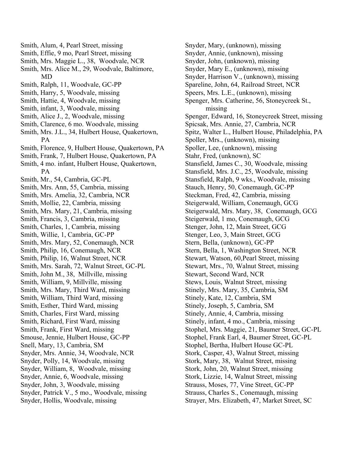- Smith, Alum, 4, Pearl Street, missing
- Smith, Effie, 9 mo, Pearl Street, missing
- Smith, Mrs. Maggie L., 38, Woodvale, NCR
- Smith, Mrs. Alice M., 29, Woodvale, Baltimore, MD
- Smith, Ralph, 11, Woodvale, GC-PP
- Smith, Harry, 5, Woodvale, missing
- Smith, Hattie, 4, Woodvale, missing
- Smith, infant, 3, Woodvale, missing
- Smith, Alice J., 2, Woodvale, missing
- Smith, Clarence, 6 mo. Woodvale, missing
- Smith, Mrs. J.L., 34, Hulbert House, Quakertown, PA
- Smith, Florence, 9, Hulbert House, Quakertown, PA
- Smith, Frank, 7, Hulbert House, Quakertown, PA
- Smith, 4 mo. infant, Hulbert House, Quakertown, PA
- Smith, Mr., 54, Cambria, GC-PL
- Smith, Mrs. Ann, 55, Cambria, missing
- Smith, Mrs. Amelia, 32, Cambria, NCR
- Smith, Mollie, 22, Cambria, missing
- Smith, Mrs. Mary, 21, Cambria, missing
- Smith, Francis, 3, Cambria, missing
- Smith, Charles, 1, Cambria, missing
- Smith, Willie, 1, Cambria, GC-PP
- Smith, Mrs. Mary, 52, Conemaugh, NCR
- Smith, Philip, 16, Conemaugh, NCR
- Smith, Philip, 16, Walnut Street, NCR
- Smith, Mrs. Sarah, 72, Walnut Street, GC-PL
- Smith, John M., 38, Millville, missing
- Smith, William, 9, Millville, missing
- Smith, Mrs. Mary, Third Ward, missing
- Smith, William, Third Ward, missing
- Smith, Esther, Third Ward, missing
- Smith, Charles, First Ward, missing
- Smith, Richard, First Ward, missing
- Smith, Frank, First Ward, missing
- Smouse, Jennie, Hulbert House, GC-PP
- Snell, Mary, 13, Cambria, SM
- Snyder, Mrs. Annie, 34, Woodvale, NCR
- Snyder, Polly, 14, Woodvale, missing
- Snyder, William, 8, Woodvale, missing
- Snyder, Annie, 6, Woodvale, missing
- Snyder, John, 3, Woodvale, missing
- Snyder, Patrick V., 5 mo., Woodvale, missing
- Snyder, Hollis, Woodvale, missing

Snyder, Mary, (unknown), missing Snyder, Annie, (unknown), missing Snyder, John, (unknown), missing Snyder, Mary E., (unknown), missing Snyder, Harrison V., (unknown), missing Spareline, John, 64, Railroad Street, NCR Speers, Mrs. L.E., (unknown), missing Spenger, Mrs. Catherine, 56, Stoneycreek St., missing Spenger, Edward, 16, Stoneycreek Street, missing Spicsak, Mrs. Annie, 27, Cambria, NCR Spitz, Walter L., Hulbert House, Philadelphia, PA Spoller, Mrs., (unknown), missing Spoller, Lee, (unknown), missing Stahr, Fred, (unknown), SC Stansfield, James C., 30, Woodvale, missing Stansfield, Mrs. J.C., 25, Woodvale, missing Stansfield, Ralph, 9 wks., Woodvale, missing Stauch, Henry, 50, Conemaugh, GC-PP Steckman, Fred, 42, Cambria, missing Steigerwald, William, Conemaugh, GCG Steigerwald, Mrs. Mary, 38, Conemaugh, GCG Steigerwald, 1 mo, Conemaugh, GCG Stenger, John, 12, Main Street, GCG Stenger, Leo, 3, Main Street, GCG Stern, Bella, (unknown), GC-PP Stern, Bella, 1, Washington Street, NCR Stewart, Watson, 60,Pearl Street, missing Stewart, Mrs., 70, Walnut Street, missing Stewart, Second Ward, NCR Stews, Louis, Walnut Street, missing Stinely, Mrs. Mary, 35, Cambria, SM Stinely, Kate, 12, Cambria, SM Stinely, Joseph, 5, Cambria, SM Stinely, Annie, 4, Cambria, missing Stinely, infant, 4 mo., Cambria, missing Stophel, Mrs. Maggie, 21, Baumer Street, GC-PL Stophel, Frank Earl, 4, Baumer Street, GC-PL Stophel, Bertha, Hulbert House GC-PL Stork, Casper, 43, Walnut Street, missing Stork, Mary, 38, Walnut Street, missing Stork, John, 20, Walnut Street, missing Stork, Lizzie, 14, Walnut Street, missing Strauss, Moses, 77, Vine Street, GC-PP Strauss, Charles S., Conemaugh, missing Strayer, Mrs. Elizabeth, 47, Market Street, SC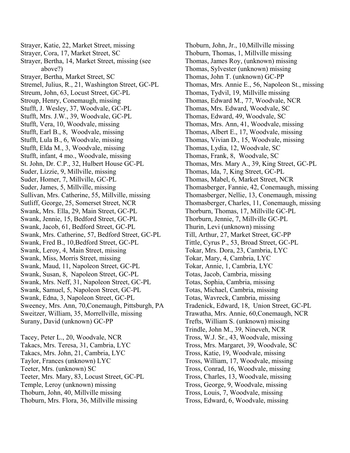Strayer, Katie, 22, Market Street, missing Strayer, Cora, 17, Market Street, SC Strayer, Bertha, 14, Market Street, missing (see above?) Strayer, Bertha, Market Street, SC Stremel, Julius, R., 21, Washington Street, GC-PL Streum, John, 63, Locust Street, GC-PL Stroup, Henry, Conemaugh, missing Stufft, J. Wesley, 37, Woodvale, GC-PL Stufft, Mrs. J.W., 39, Woodvale, GC-PL Stufft, Vera, 10, Woodvale, missing Stufft, Earl B., 8, Woodvale, missing Stufft, Lula B., 6, Woodvale, missing Stufft, Elda M., 3, Woodvale, missing Stufft, infant, 4 mo., Woodvale, missing St. John, Dr. C.P., 32, Hulbert House GC-PL Suder, Lizzie, 9, Millville, missing Suder, Homer, 7, Millville, GC-PL Suder, James, 5, Millville, missing Sullivan, Mrs. Catherine, 55, Millville, missing Sutliff, George, 25, Somerset Street, NCR Swank, Mrs. Ella, 29, Main Street, GC-PL Swank, Jennie, 15, Bedford Street, GC-PL Swank, Jacob, 61, Bedford Street, GC-PL Swank, Mrs. Catherine, 57, Bedford Street, GC-PL Swank, Fred B., 10,Bedford Street, GC-PL Swank, Leroy, 4, Main Street, missing Swank, Miss, Morris Street, missing Swank, Maud, 11, Napoleon Street, GC-PL Swank, Susan, 8, Napoleon Street, GC-PL Swank, Mrs. Neff, 31, Napoleon Street, GC-PL Swank, Samuel, 5, Napoleon Street, GC-PL Swank, Edna, 3, Napoleon Street, GC-PL Sweeney, Mrs. Ann, 70,Conemaugh, Pittsburgh, PA Sweitzer, William, 35, Morrellville, missing Surany, David (unknown) GC-PP

Tacey, Peter L., 20, Woodvale, NCR Takacs, Mrs. Teresa, 31, Cambria, LYC Takacs, Mrs. John, 21, Cambria, LYC Taylor, Frances (unknown) LYC Teeter, Mrs. (unknown) SC Teeter, Mrs. Mary, 83, Locust Street, GC-PL Temple, Leroy (unknown) missing Thoburn, John, 40, Millville missing Thoburn, Mrs. Flora, 36, Millville missing

Thoburn, John, Jr., 10,Millville missing Thoburn, Thomas, 1, Millville missing Thomas, James Roy, (unknown) missing Thomas, Sylvester (unknown) missing Thomas, John T. (unknown) GC-PP Thomas, Mrs. Annie E., 56, Napoleon St., missing Thomas, Tydvil, 19, Millville missing Thomas, Edward M., 77, Woodvale, NCR Thomas, Mrs. Edward, Woodvale, SC Thomas, Edward, 49, Woodvale, SC Thomas, Mrs. Ann, 41, Woodvale, missing Thomas, Albert E., 17, Woodvale, missing Thomas, Vivian D., 15, Woodvale, missing Thomas, Lydia, 12, Woodvale, SC Thomas, Frank, 8, Woodvale, SC Thomas, Mrs. Mary A., 39, King Street, GC-PL Thomas, Ida, 7, King Street, GC-PL Thomas, Mabel, 6, Market Street, NCR Thomasberger, Fannie, 42, Conemaugh, missing Thomasberger, Nellie, 13, Conemaugh, missing Thomasberger, Charles, 11, Conemaugh, missing Thorburn, Thomas, 17, Millville GC-PL Thorburn, Jennie, 7, Millville GC-PL Thurin, Levi (unknown) missing Till, Arthur, 27, Market Street, GC-PP Tittle, Cyrus P., 53, Broad Street, GC-PL Tokar, Mrs. Dora, 23, Cambria, LYC Tokar, Mary, 4, Cambria, LYC Tokar, Annie, 1, Cambria, LYC Totas, Jacob, Cambria, missing Totas, Sophia, Cambria, missing Totas, Michael, Cambria, missing Totas, Wavreck, Cambria, missing Tradenick, Edward, 18, Union Street, GC-PL Trawatha, Mrs. Annie, 60,Conemaugh, NCR Trefts, William S. (unknown) missing Trindle, John M., 39, Nineveh, NCR Tross, W.J. Sr., 43, Woodvale, missing Tross, Mrs. Margaret, 39, Woodvale, SC Tross, Katie, 19, Woodvale, missing Tross, William, 17, Woodvale, missing Tross, Conrad, 16, Woodvale, missing Tross, Charles, 13, Woodvale, missing Tross, George, 9, Woodvale, missing Tross, Louis, 7, Woodvale, missing Tross, Edward, 6, Woodvale, missing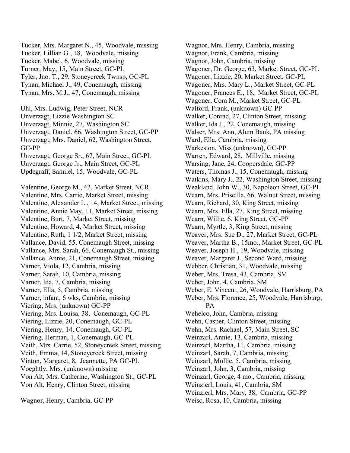Tucker, Mrs. Margaret N., 45, Woodvale, missing Tucker, Lillian G., 18, Woodvale, missing Tucker, Mabel, 6, Woodvale, missing Turner, May, 15, Main Street, GC-PL Tyler, Jno. T., 29, Stoneycreek Twnsp, GC-PL Tynan, Michael J., 49, Conemaugh, missing Tynan, Mrs. M.J., 47, Conemaugh, missing Uhl, Mrs. Ludwig, Peter Street, NCR

Unverzagt, Lizzie Washington SC Unverzagt, Minnie, 27, Washington SC Unverzagt, Daniel, 66, Washington Street, GC-PP Unverzagt, Mrs. Daniel, 62, Washington Street, GC-PP Unverzagt, George Sr., 67, Main Street, GC-PL Unverzagt, George Jr., Main Street, GC-PL

Updegraff, Samuel, 15, Woodvale, GC-PL

Valentine, George M., 42, Market Street, NCR Valentine, Mrs. Carrie, Market Street, missing Valentine, Alexander L., 14, Market Street, missing Valentine, Annie May, 11, Market Street, missing Valentine, Burt, 7, Market Street, missing Valentine, Howard, 4, Market Street, missing Valentine, Ruth, 1 1/2, Market Street, missing Vallance, David, 55, Conemaugh Street, missing Vallance, Mrs. Sarah, 66, Conemaugh St., missing Vallance, Annie, 21, Conemaugh Street, missing Varner, Viola, 12, Cambria, missing Varner, Sarah, 10, Cambria, missing Varner, Ida, 7, Cambria, missing Varner, Ella, 5, Cambria, missing Varner, infant, 6 wks, Cambria, missing Viering, Mrs. (unknown) GC-PP Viering, Mrs. Louisa, 38, Conemaugh, GC-PL Viering, Lizzie, 20, Conemaugh, GC-PL Viering, Henry, 14, Conemaugh, GC-PL Viering, Herman, 1, Conemaugh, GC-PL Veith, Mrs. Carrie, 52, Stoneycreek Street, missing Veith, Emma, 14, Stoneycreek Street, missing Vinton, Margaret, 8, Jeannette, PA GC-PL Voeghtly, Mrs. (unknown) missing Von Alt, Mrs. Catherine, Washington St., GC-PL Von Alt, Henry, Clinton Street, missing

Wagnor, Henry, Cambria, GC-PP

Wagnor, Mrs. Henry, Cambria, missing Wagnor, Frank, Cambria, missing Wagnor, John, Cambria, missing Wagoner, Dr. George, 63, Market Street, GC-PL Wagoner, Lizzie, 20, Market Street, GC-PL Wagoner, Mrs. Mary L., Market Street, GC-PL Wagoner, Frances E., 18, Market Street, GC-PL Wagoner, Cora M., Market Street, GC-PL Walford, Frank, (unknown) GC-PP Walker, Conrad, 27, Clinton Street, missing Walker, Ida J., 22, Conemaugh, missing Walser, Mrs. Ann, Alum Bank, PA missing Ward, Ella, Cambria, missing Warkeston, Miss (unknown), GC-PP Warren, Edward, 28, Millville, missing Warsing, Jane, 24, Coopersdale, GC-PP Waters, Thomas J., 15, Conemaugh, missing Watkins, Mary J., 22, Washington Street, missing Weakland, John W., 30, Napoleon Street, GC-PL Wearn, Mrs. Priscilla, 66, Walnut Street, missing Wearn, Richard, 30, King Street, missing Wearn, Mrs. Ella, 27, King Street, missing Wearn, Willie, 6, King Street, GC-PP Wearn, Myrtle, 3, King Street, missing Weaver, Mrs. Sue D., 27, Market Street, GC-PL Weaver, Martha B., 15mo., Market Street, GC-PL Weaver, Joseph H., 19, Woodvale, missing Weaver, Margaret J., Second Ward, missing Webber, Christian, 31, Woodvale, missing Weber, Mrs. Tresa, 43, Cambria, SM Weber, John, 4, Cambria, SM Weber, E. Vincent, 26, Woodvale, Harrisburg, PA Weber, Mrs. Florence, 25, Woodvale, Harrisburg, PA Wehelco, John, Cambria, missing Wehn, Casper, Clinton Street, missing Wehn, Mrs. Rachael, 57, Main Street, SC Weinzarl, Annie, 13, Cambria, missing Weinzarl, Martha, 11, Cambria, missing Weinzarl, Sarah, 7, Cambria, missing Weinzarl, Mollie, 5, Cambria, missing Weinzarl, John, 3, Cambria, missing Weinzarl, George, 4 mo., Cambria, missing Weinzierl, Louis, 41, Cambria, SM Weinzierl, Mrs. Mary, 38, Cambria, GC-PP

Weisc, Rosa, 10, Cambria, missing